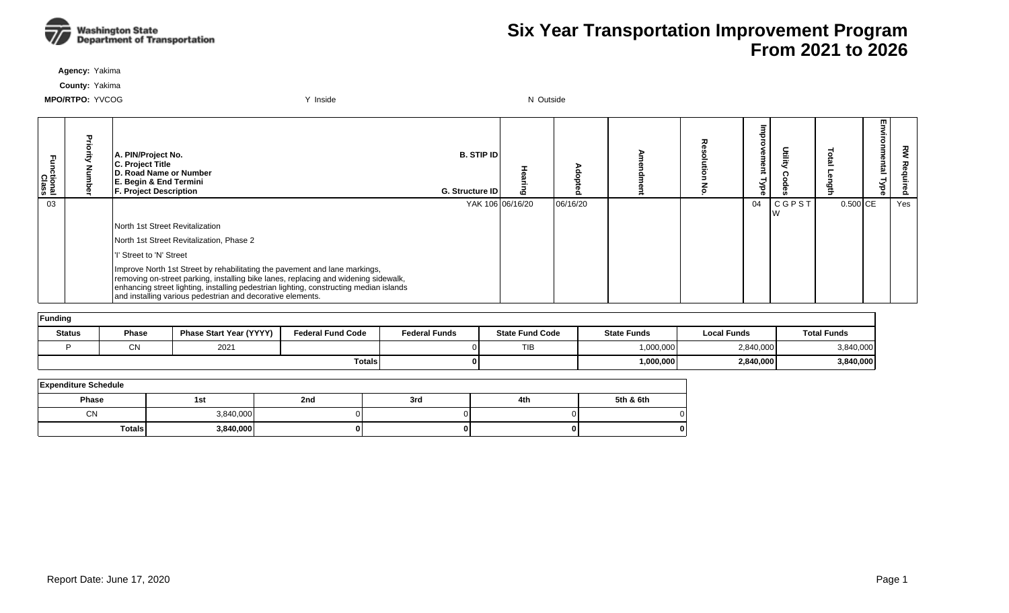

**Agency:** Yakima

**County:** Yakima

| ctional<br>Class | m | A. PIN/Project No.<br>C. Project Title<br>D. Road Name or Number<br>E. Begin & End Termini<br><b>F. Project Description</b>                                                                                                                                                                                               | <b>B. STIP ID</b><br>G. Structure ID |                  | o        |  | ®<br>Ō<br>⋣ |       | <b>Dia</b><br>ğ | m<br>5<br>-<br>nme<br>lan<br>Гуре | 깋   |
|------------------|---|---------------------------------------------------------------------------------------------------------------------------------------------------------------------------------------------------------------------------------------------------------------------------------------------------------------------------|--------------------------------------|------------------|----------|--|-------------|-------|-----------------|-----------------------------------|-----|
| 03               |   |                                                                                                                                                                                                                                                                                                                           |                                      | YAK 106 06/16/20 | 06/16/20 |  | 04          | CGPST | $0.500$ CE      |                                   | Yes |
|                  |   | North 1st Street Revitalization                                                                                                                                                                                                                                                                                           |                                      |                  |          |  |             |       |                 |                                   |     |
|                  |   | North 1st Street Revitalization, Phase 2                                                                                                                                                                                                                                                                                  |                                      |                  |          |  |             |       |                 |                                   |     |
|                  |   | 'I' Street to 'N' Street                                                                                                                                                                                                                                                                                                  |                                      |                  |          |  |             |       |                 |                                   |     |
|                  |   | Improve North 1st Street by rehabilitating the pavement and lane markings,<br>removing on-street parking, installing bike lanes, replacing and widening sidewalk,<br>enhancing street lighting, installing pedestrian lighting, constructing median islands<br>and installing various pedestrian and decorative elements. |                                      |                  |          |  |             |       |                 |                                   |     |

| Funding       |              |                                |                          |                      |                        |                    |             |                    |  |  |  |  |
|---------------|--------------|--------------------------------|--------------------------|----------------------|------------------------|--------------------|-------------|--------------------|--|--|--|--|
| <b>Status</b> | <b>Phase</b> | <b>Phase Start Year (YYYY)</b> | <b>Federal Fund Code</b> | <b>Federal Funds</b> | <b>State Fund Code</b> | <b>State Funds</b> | Local Funds | <b>Total Funds</b> |  |  |  |  |
|               | C٨           | 2021                           |                          |                      | <b>TIB</b>             | 1,000,000          | 2,840,000   | 3,840,000          |  |  |  |  |
|               |              |                                | <b>Totals</b>            |                      |                        | 1,000,000          | 2,840,000   | 3,840,000          |  |  |  |  |

| <b>Expenditure Schedule</b> |           |     |     |     |           |  |  |  |  |  |  |
|-----------------------------|-----------|-----|-----|-----|-----------|--|--|--|--|--|--|
| Phase                       | 1st       | 2nd | 3rd | 4th | 5th & 6th |  |  |  |  |  |  |
| <b>CN</b>                   | 3,840,000 |     |     |     |           |  |  |  |  |  |  |
| Totals                      | 3,840,000 |     |     |     |           |  |  |  |  |  |  |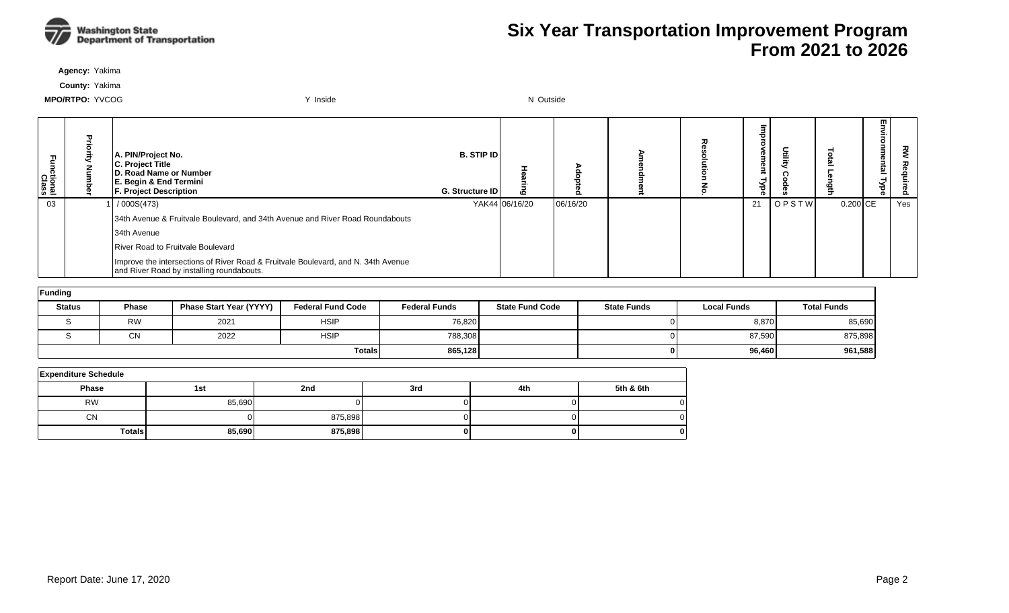

**Agency:** Yakima

**County:** Yakima

| Fa<br>S<br>hctional<br>Class | ≖ | A. PIN/Project No.<br>C. Project Title<br>D. Road Name or Number<br>E. Begin & End Termini<br><b>F. Project Description</b>    | <b>B. STIP IDI</b><br><b>G. Structure IDI</b> |                | $\bullet$ | ᆽ | መ<br>ъ |              |          | m<br>툐<br>ਠ | 꼰<br>௨ |
|------------------------------|---|--------------------------------------------------------------------------------------------------------------------------------|-----------------------------------------------|----------------|-----------|---|--------|--------------|----------|-------------|--------|
| 03                           |   | /000S(473)                                                                                                                     |                                               | YAK44 06/16/20 | 06/16/20  |   | 21     | <b>OPSTW</b> | 0.200 CE |             | Yes    |
|                              |   | 34th Avenue & Fruitvale Boulevard, and 34th Avenue and River Road Roundabouts                                                  |                                               |                |           |   |        |              |          |             |        |
|                              |   | 34th Avenue                                                                                                                    |                                               |                |           |   |        |              |          |             |        |
|                              |   | River Road to Fruitvale Boulevard                                                                                              |                                               |                |           |   |        |              |          |             |        |
|                              |   | Improve the intersections of River Road & Fruitvale Boulevard, and N. 34th Avenue<br>and River Road by installing roundabouts. |                                               |                |           |   |        |              |          |             |        |

| Funding       |              |                                |                          |                      |                        |                    |                    |                    |  |  |  |  |
|---------------|--------------|--------------------------------|--------------------------|----------------------|------------------------|--------------------|--------------------|--------------------|--|--|--|--|
| <b>Status</b> | <b>Phase</b> | <b>Phase Start Year (YYYY)</b> | <b>Federal Fund Code</b> | <b>Federal Funds</b> | <b>State Fund Code</b> | <b>State Funds</b> | <b>Local Funds</b> | <b>Total Funds</b> |  |  |  |  |
|               | <b>RW</b>    | 2021                           | <b>HSIP</b>              | 76,820               |                        |                    | 8,870              | 85,690             |  |  |  |  |
|               | CN           | 2022                           | <b>HSIP</b>              | 788,308              |                        |                    | 87,590             | 875,898            |  |  |  |  |
|               |              |                                | <b>Totals</b>            | 865,128              |                        |                    | 96,460             | 961,588            |  |  |  |  |

| <b>Expenditure Schedule</b> |        |         |     |     |           |  |  |  |  |  |  |
|-----------------------------|--------|---------|-----|-----|-----------|--|--|--|--|--|--|
| <b>Phase</b>                | 1st    | 2nd     | 3rd | 4th | 5th & 6th |  |  |  |  |  |  |
| <b>RW</b>                   | 85,690 |         |     |     |           |  |  |  |  |  |  |
| <b>CN</b>                   |        | 875,898 |     |     |           |  |  |  |  |  |  |
| <b>Totals</b>               | 85,690 | 875,898 |     |     |           |  |  |  |  |  |  |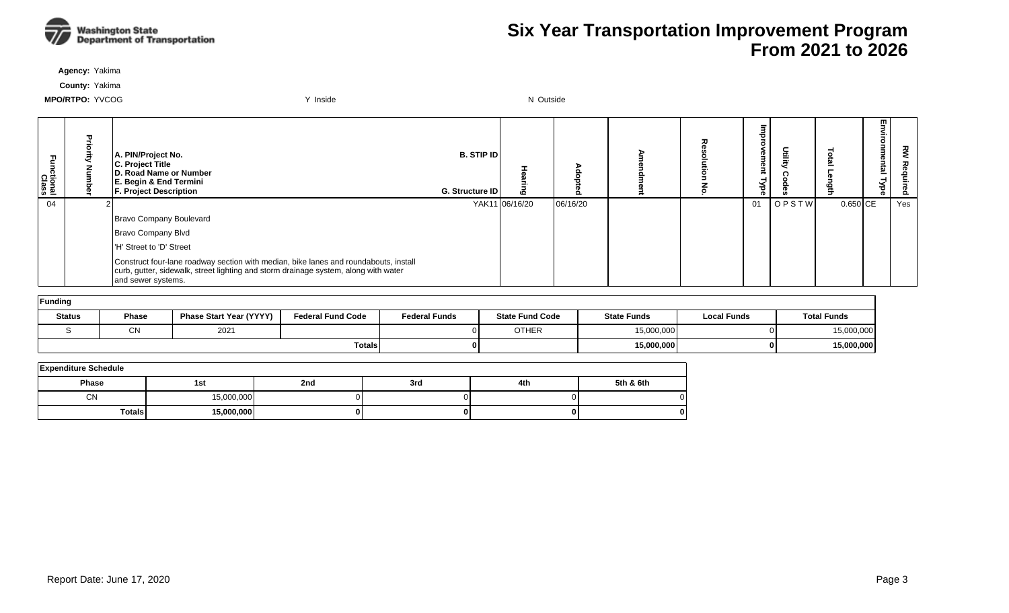

**Agency:** Yakima

**County:** Yakima

| Functional<br>Class | A. PIN/Project No.<br>C. Project Title<br>D. Road Name or Number<br>E. Begin & End Termini<br><b>F. Project Description</b>                                                                       | <b>B.</b> STIP ID<br>G. Structure ID | $\mathbf{C}$   |          | 고 | Φ<br>Φ<br>ъ | Ĕ     |            | m<br>= | 꼰<br><u>ಒ</u> |
|---------------------|---------------------------------------------------------------------------------------------------------------------------------------------------------------------------------------------------|--------------------------------------|----------------|----------|---|-------------|-------|------------|--------|---------------|
| 04                  |                                                                                                                                                                                                   |                                      | YAK11 06/16/20 | 06/16/20 |   | 01          | OPSTW | $0.650$ CE |        | Yes           |
|                     | Bravo Company Boulevard                                                                                                                                                                           |                                      |                |          |   |             |       |            |        |               |
|                     | Bravo Company Blvd                                                                                                                                                                                |                                      |                |          |   |             |       |            |        |               |
|                     | I'H' Street to 'D' Street                                                                                                                                                                         |                                      |                |          |   |             |       |            |        |               |
|                     | Construct four-lane roadway section with median, bike lanes and roundabouts, install<br>curb, gutter, sidewalk, street lighting and storm drainage system, along with water<br>and sewer systems. |                                      |                |          |   |             |       |            |        |               |

| Funding       |                      |                                |                          |                      |                        |                    |                    |                    |
|---------------|----------------------|--------------------------------|--------------------------|----------------------|------------------------|--------------------|--------------------|--------------------|
| <b>Status</b> | <b>Phase</b>         | <b>Phase Start Year (YYYY)</b> | <b>Federal Fund Code</b> | <b>Federal Funds</b> | <b>State Fund Code</b> | <b>State Funds</b> | <b>Local Funds</b> | <b>Total Funds</b> |
|               | $\sim$<br>2021<br>UΝ |                                |                          |                      | <b>OTHER</b>           | 15,000,000         |                    | 15,000,000         |
|               |                      |                                | <b>Totals</b>            | 01                   |                        | 15,000,000         |                    | 15,000,000         |

| <b>Expenditure Schedule</b> |            |     |     |     |           |  |  |  |  |  |  |
|-----------------------------|------------|-----|-----|-----|-----------|--|--|--|--|--|--|
| <b>Phase</b>                | 1st        | 2nd | 3rd | 4th | 5th & 6th |  |  |  |  |  |  |
| <b>CN</b>                   | 15,000,000 |     |     |     |           |  |  |  |  |  |  |
| <b>Totals</b>               | 15,000,000 |     |     |     | 0         |  |  |  |  |  |  |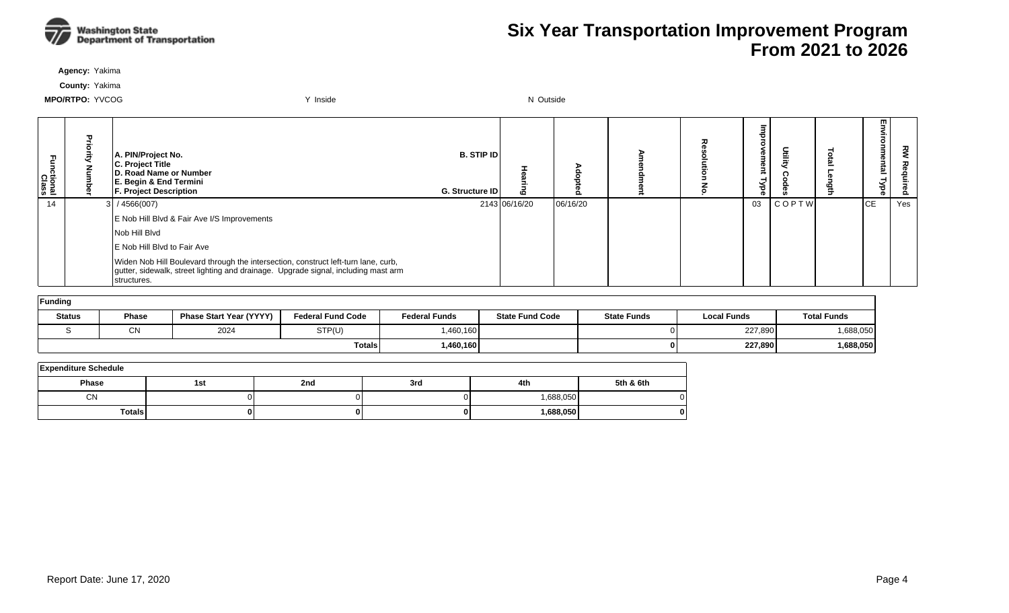

**Agency:** Yakima

**County:** Yakima

| ctional<br>Class | 공 | A. PIN/Project No.<br>C. Project Title<br>D. Road Name or Number<br>E. Begin & End Termini<br>F. Project Description                                                                    | <b>B. STIP IDI</b><br>G. Structure ID |               |          |  | ወ<br>Φ<br>ಕ |       | m<br><u>ត</u><br>ത | š<br>ဥ |
|------------------|---|-----------------------------------------------------------------------------------------------------------------------------------------------------------------------------------------|---------------------------------------|---------------|----------|--|-------------|-------|--------------------|--------|
| 14               |   | 3/4566(007)                                                                                                                                                                             |                                       | 2143 06/16/20 | 06/16/20 |  | 03          | COPTW | IСE                | Yes    |
|                  |   | E Nob Hill Blvd & Fair Ave I/S Improvements                                                                                                                                             |                                       |               |          |  |             |       |                    |        |
|                  |   | Nob Hill Blvd                                                                                                                                                                           |                                       |               |          |  |             |       |                    |        |
|                  |   | E Nob Hill Blvd to Fair Ave                                                                                                                                                             |                                       |               |          |  |             |       |                    |        |
|                  |   | Widen Nob Hill Boulevard through the intersection, construct left-turn lane, curb,<br>gutter, sidewalk, street lighting and drainage. Upgrade signal, including mast arm<br>structures. |                                       |               |          |  |             |       |                    |        |

| Funding       |                                |                                |                          |                      |                        |                    |                    |             |
|---------------|--------------------------------|--------------------------------|--------------------------|----------------------|------------------------|--------------------|--------------------|-------------|
| <b>Status</b> | <b>Phase</b>                   | <b>Phase Start Year (YYYY)</b> | <b>Federal Fund Code</b> | <b>Federal Funds</b> | <b>State Fund Code</b> | <b>State Funds</b> | <b>Local Funds</b> | Total Funds |
|               | $\sim$<br>2024<br>STP(U)<br>u١ |                                |                          |                      |                        |                    | 227,890            | 1,688,050   |
|               |                                |                                | <b>Totals</b>            | 1,460,160            |                        |                    | 227,890            | 1,688,050   |

| <b>Expenditure Schedule</b> |               |     |     |     |            |           |  |  |  |  |  |
|-----------------------------|---------------|-----|-----|-----|------------|-----------|--|--|--|--|--|
| <b>Phase</b>                |               | 1st | 2nd | 3rd | 4th        | 5th & 6th |  |  |  |  |  |
|                             | <b>CN</b>     |     |     |     | ,688,050   |           |  |  |  |  |  |
|                             | <b>Totals</b> |     | 01  | ŋ.  | 688,050, ا | o         |  |  |  |  |  |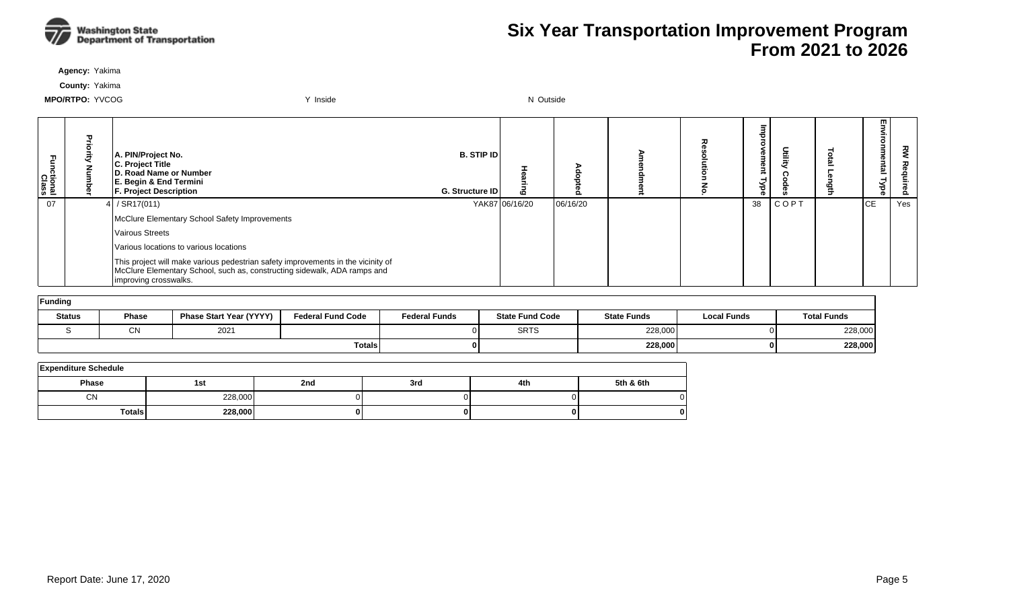

**Agency:** Yakima

**County:** Yakima

| Functional<br>Class | ᇃ | A. PIN/Project No.<br>C. Project Title<br>D. Road Name or Number<br>E. Begin & End Termini<br><b>F. Project Description</b>                                                           | B. STIP ID<br>G. Structure ID | ه              | $\circ$<br>o |  | Œ<br>ಕ<br>ൈ | 盲       | 로 | Environmental<br><b>Type</b> | ट्ट<br>۰<br>Ö. |
|---------------------|---|---------------------------------------------------------------------------------------------------------------------------------------------------------------------------------------|-------------------------------|----------------|--------------|--|-------------|---------|---|------------------------------|----------------|
| 07                  |   | $/$ SR17(011)                                                                                                                                                                         |                               | YAK87 06/16/20 | 06/16/20     |  | 38          | C O P T |   | <b>ICE</b>                   | Yes            |
|                     |   | McClure Elementary School Safety Improvements                                                                                                                                         |                               |                |              |  |             |         |   |                              |                |
|                     |   | <b>Vairous Streets</b>                                                                                                                                                                |                               |                |              |  |             |         |   |                              |                |
|                     |   | Various locations to various locations                                                                                                                                                |                               |                |              |  |             |         |   |                              |                |
|                     |   | This project will make various pedestrian safety improvements in the vicinity of<br>McClure Elementary School, such as, constructing sidewalk, ADA ramps and<br>improving crosswalks. |                               |                |              |  |             |         |   |                              |                |
| <b>Funding</b>      |   |                                                                                                                                                                                       |                               |                |              |  |             |         |   |                              |                |

| <b>Status</b> | <b>Phase Start Year (YYYY)</b><br><b>Phase</b> |  | <b>Federal Fund Code</b> | <b>Federal Funds</b> | <b>State Fund Code</b> | <b>State Funds</b> | <b>Local Funds</b> | <b>Total Funds</b> |  |  |  |  |  |
|---------------|------------------------------------------------|--|--------------------------|----------------------|------------------------|--------------------|--------------------|--------------------|--|--|--|--|--|
|               | 2021<br>∩N<br>◡พ                               |  |                          | <b>SRTS</b>          | 228,000                |                    | 228,000            |                    |  |  |  |  |  |
|               |                                                |  | <b>Totals</b>            |                      |                        | 228,000            |                    | 228,000            |  |  |  |  |  |

| <b>Expenditure Schedule</b> |         |     |     |     |           |  |  |  |  |  |  |  |  |
|-----------------------------|---------|-----|-----|-----|-----------|--|--|--|--|--|--|--|--|
| <b>Phase</b>                | 1st     | 2nd | 3rd | 4th | 5th & 6th |  |  |  |  |  |  |  |  |
| <b>CN</b>                   | 228,000 |     |     |     |           |  |  |  |  |  |  |  |  |
| Totals,                     | 228,000 |     |     |     | 0         |  |  |  |  |  |  |  |  |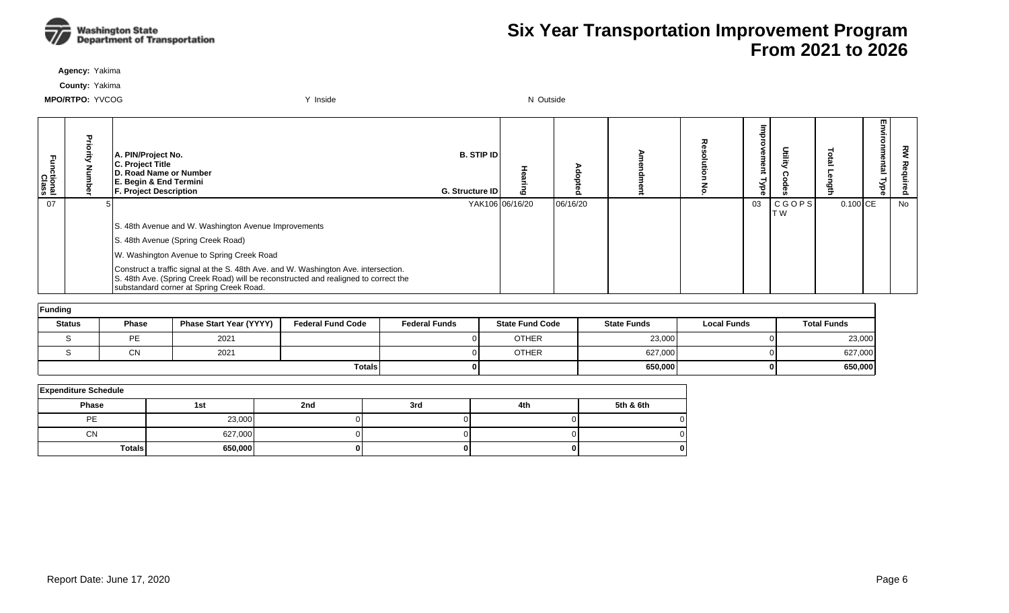

**Agency:** Yakima

**County:** Yakima

| Functional<br>Class | Priority<br>z | A. PIN/Project No.<br>C. Project Title<br>D. Road Name or Number<br>E. Begin & End Termini<br><b>F. Project Description</b> |                                                                                                                                                                                                                        |                          | <b>B.</b> STIP ID<br>G. Structure ID | 동<br>E<br>Luã          | Adopted  |                    | る                  | Ξ<br>$\circ$<br>vement<br>Гуре | Utility             | Total<br>ength     | Environmental Type | ट्ट<br>Req<br>luired |
|---------------------|---------------|-----------------------------------------------------------------------------------------------------------------------------|------------------------------------------------------------------------------------------------------------------------------------------------------------------------------------------------------------------------|--------------------------|--------------------------------------|------------------------|----------|--------------------|--------------------|--------------------------------|---------------------|--------------------|--------------------|----------------------|
| 07                  |               |                                                                                                                             |                                                                                                                                                                                                                        |                          |                                      | YAK106 06/16/20        | 06/16/20 |                    |                    | 03                             | <b>CGOPS</b><br>T W | $0.100$ CE         |                    | <b>No</b>            |
|                     |               |                                                                                                                             | S. 48th Avenue and W. Washington Avenue Improvements                                                                                                                                                                   |                          |                                      |                        |          |                    |                    |                                |                     |                    |                    |                      |
|                     |               |                                                                                                                             | S. 48th Avenue (Spring Creek Road)                                                                                                                                                                                     |                          |                                      |                        |          |                    |                    |                                |                     |                    |                    |                      |
|                     |               |                                                                                                                             | W. Washington Avenue to Spring Creek Road                                                                                                                                                                              |                          |                                      |                        |          |                    |                    |                                |                     |                    |                    |                      |
|                     |               |                                                                                                                             | Construct a traffic signal at the S. 48th Ave. and W. Washington Ave. intersection.<br>S. 48th Ave. (Spring Creek Road) will be reconstructed and realigned to correct the<br>substandard corner at Spring Creek Road. |                          |                                      |                        |          |                    |                    |                                |                     |                    |                    |                      |
| Funding             |               |                                                                                                                             |                                                                                                                                                                                                                        |                          |                                      |                        |          |                    |                    |                                |                     |                    |                    |                      |
|                     | <b>Status</b> | Phase                                                                                                                       | <b>Phase Start Year (YYYY)</b>                                                                                                                                                                                         | <b>Federal Fund Code</b> | <b>Federal Funds</b>                 | <b>State Fund Code</b> |          | <b>State Funds</b> | <b>Local Funds</b> |                                |                     | <b>Total Funds</b> |                    |                      |
|                     | S             | <b>PE</b>                                                                                                                   | 2021                                                                                                                                                                                                                   |                          |                                      | <b>OTHER</b>           |          | 23,000             |                    |                                |                     | 23,000             |                    |                      |
|                     | S             | <b>CN</b>                                                                                                                   | 2021                                                                                                                                                                                                                   |                          |                                      | <b>OTHER</b>           |          | 627,000            |                    |                                |                     | 627,000            |                    |                      |
|                     |               |                                                                                                                             |                                                                                                                                                                                                                        | <b>Totals</b>            |                                      |                        |          | 650,000            |                    |                                | 0 I                 | 650,000            |                    |                      |

| <b>Expenditure Schedule</b> |         |     |     |     |           |  |  |  |  |  |  |  |  |  |
|-----------------------------|---------|-----|-----|-----|-----------|--|--|--|--|--|--|--|--|--|
| Phase                       | 1st     | 2nd | 3rd | 4th | 5th & 6th |  |  |  |  |  |  |  |  |  |
| PE                          | 23,000  |     |     |     |           |  |  |  |  |  |  |  |  |  |
| <b>CN</b>                   | 627,000 |     |     |     |           |  |  |  |  |  |  |  |  |  |
| <b>Totals</b>               | 650,000 |     | 01  |     |           |  |  |  |  |  |  |  |  |  |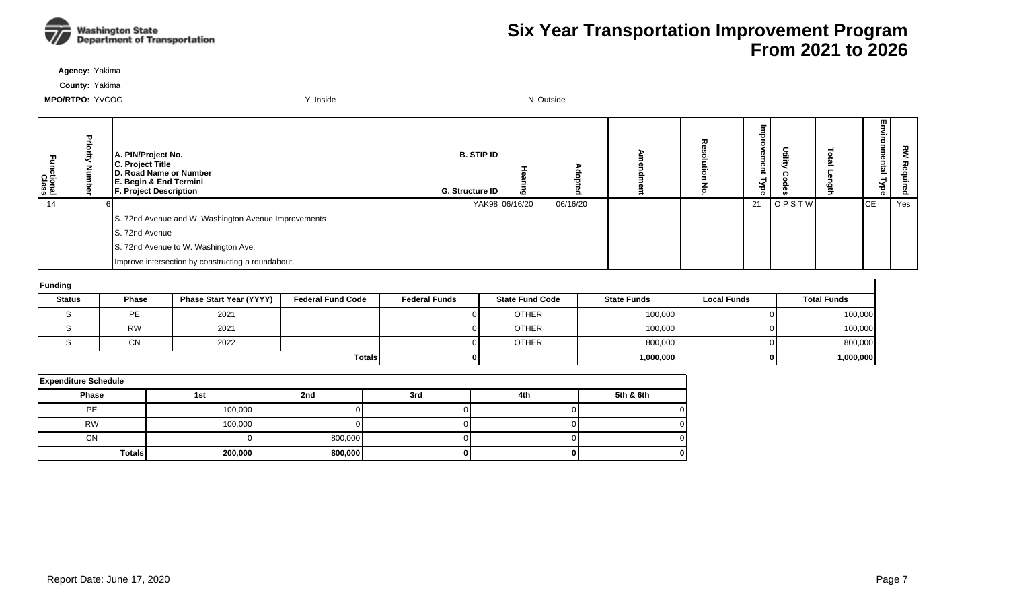

**Agency:** Yakima

**County:** Yakima

| Ę<br>ctional<br>Class | Pric | A. PIN/Project No.<br>C. Project Title<br>D. Road Name or Number<br>E. Begin & End Termini<br><b>F. Project Description</b> | <b>B. STIP ID</b><br>G. Structure ID | Ю              | o        | ᆽ | Φ<br>œ<br>≺<br>ಕ<br>ൈ |       | w.<br>Ξ<br>⊣<br>Ѣ | š<br><u>o</u> |
|-----------------------|------|-----------------------------------------------------------------------------------------------------------------------------|--------------------------------------|----------------|----------|---|-----------------------|-------|-------------------|---------------|
| 14                    |      |                                                                                                                             |                                      | YAK98 06/16/20 | 06/16/20 |   | 21                    | OPSTW | IСE               | Yes           |
|                       |      | S. 72nd Avenue and W. Washington Avenue Improvements                                                                        |                                      |                |          |   |                       |       |                   |               |
|                       |      | S. 72nd Avenue                                                                                                              |                                      |                |          |   |                       |       |                   |               |
|                       |      | S. 72nd Avenue to W. Washington Ave.                                                                                        |                                      |                |          |   |                       |       |                   |               |
|                       |      | Improve intersection by constructing a roundabout.                                                                          |                                      |                |          |   |                       |       |                   |               |

| Funding       |           |                                |                          |                      |                        |                    |                    |                    |  |  |  |  |  |  |
|---------------|-----------|--------------------------------|--------------------------|----------------------|------------------------|--------------------|--------------------|--------------------|--|--|--|--|--|--|
| <b>Status</b> | Phase     | <b>Phase Start Year (YYYY)</b> | <b>Federal Fund Code</b> | <b>Federal Funds</b> | <b>State Fund Code</b> | <b>State Funds</b> | <b>Local Funds</b> | <b>Total Funds</b> |  |  |  |  |  |  |
|               | <b>PE</b> | 2021                           |                          |                      | <b>OTHER</b>           | 100.000            |                    | 100,000            |  |  |  |  |  |  |
|               | <b>RW</b> | 2021                           |                          |                      | <b>OTHER</b>           | 100,000            |                    | 100,000            |  |  |  |  |  |  |
|               | <b>CN</b> | 2022                           |                          |                      | <b>OTHER</b>           | 800.000            |                    | 800,000            |  |  |  |  |  |  |
|               |           |                                | <b>Totals</b>            |                      |                        | 1,000,000          |                    | 1,000,000          |  |  |  |  |  |  |

| <b>Expenditure Schedule</b> |         |         |     |     |           |  |  |  |  |  |  |  |  |  |
|-----------------------------|---------|---------|-----|-----|-----------|--|--|--|--|--|--|--|--|--|
| <b>Phase</b>                | 1st     | 2nd     | 3rd | 4th | 5th & 6th |  |  |  |  |  |  |  |  |  |
| PE                          | 100,000 |         |     |     |           |  |  |  |  |  |  |  |  |  |
| <b>RW</b>                   | 100,000 |         |     |     |           |  |  |  |  |  |  |  |  |  |
| <b>CN</b>                   |         | 800,000 |     |     |           |  |  |  |  |  |  |  |  |  |
| <b>Totals</b>               | 200,000 | 800,000 |     |     |           |  |  |  |  |  |  |  |  |  |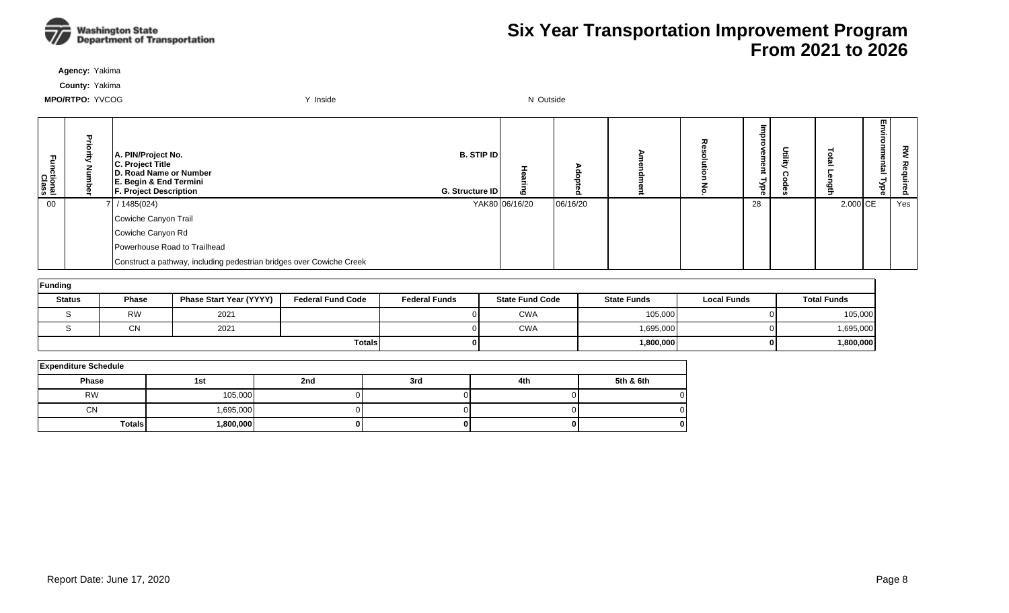

**Agency:** Yakima

**County:** Yakima

| Functional<br>Class | Ð | A. PIN/Project No.<br>C. Project Title<br>D. Road Name or Number<br>E. Begin & End Termini<br><b>F. Project Description</b> | <b>B. STIP ID</b><br>G. Structure ID | 6              | $\Omega$ | ᅎ | ®<br>œ<br>క<br>o. | Ĕ | =<br>릌.               | 罒<br>€<br>ō<br>iai<br>ہے<br>ಕ<br>ወ | š<br>る<br>Ê.<br>Fed |
|---------------------|---|-----------------------------------------------------------------------------------------------------------------------------|--------------------------------------|----------------|----------|---|-------------------|---|-----------------------|------------------------------------|---------------------|
| 00                  |   | 7 / 1485(024)                                                                                                               |                                      | YAK80 06/16/20 | 06/16/20 |   | 28                |   | $2.000$ <sub>CE</sub> |                                    | Yes                 |
|                     |   | Cowiche Canyon Trail                                                                                                        |                                      |                |          |   |                   |   |                       |                                    |                     |
|                     |   | Cowiche Canyon Rd                                                                                                           |                                      |                |          |   |                   |   |                       |                                    |                     |
|                     |   | Powerhouse Road to Trailhead                                                                                                |                                      |                |          |   |                   |   |                       |                                    |                     |
|                     |   | Construct a pathway, including pedestrian bridges over Cowiche Creek                                                        |                                      |                |          |   |                   |   |                       |                                    |                     |

| Funding       |           |                         |                          |                      |                        |                    |                    |                    |  |  |  |  |  |  |  |
|---------------|-----------|-------------------------|--------------------------|----------------------|------------------------|--------------------|--------------------|--------------------|--|--|--|--|--|--|--|
| <b>Status</b> | Phase     | Phase Start Year (YYYY) | <b>Federal Fund Code</b> | <b>Federal Funds</b> | <b>State Fund Code</b> | <b>State Funds</b> | <b>Local Funds</b> | <b>Total Funds</b> |  |  |  |  |  |  |  |
|               | <b>RW</b> | 2021                    |                          |                      | <b>CWA</b>             | 105,000            |                    | 105,000            |  |  |  |  |  |  |  |
|               | CN        | 2021                    |                          |                      | <b>CWA</b>             | 1,695,000          |                    | 1,695,000          |  |  |  |  |  |  |  |
|               |           |                         | <b>Totals</b>            |                      |                        | 1,800,000          |                    | 1,800,000          |  |  |  |  |  |  |  |

| <b>Expenditure Schedule</b> |           |     |     |     |           |  |  |  |  |  |  |  |  |  |  |
|-----------------------------|-----------|-----|-----|-----|-----------|--|--|--|--|--|--|--|--|--|--|
| Phase                       | 1st       | 2nd | 3rd | 4th | 5th & 6th |  |  |  |  |  |  |  |  |  |  |
| <b>RW</b>                   | 105,000   |     |     |     |           |  |  |  |  |  |  |  |  |  |  |
| <b>CN</b>                   | 1,695,000 |     |     |     |           |  |  |  |  |  |  |  |  |  |  |
| <b>Totals</b>               | 800,000,  |     |     |     |           |  |  |  |  |  |  |  |  |  |  |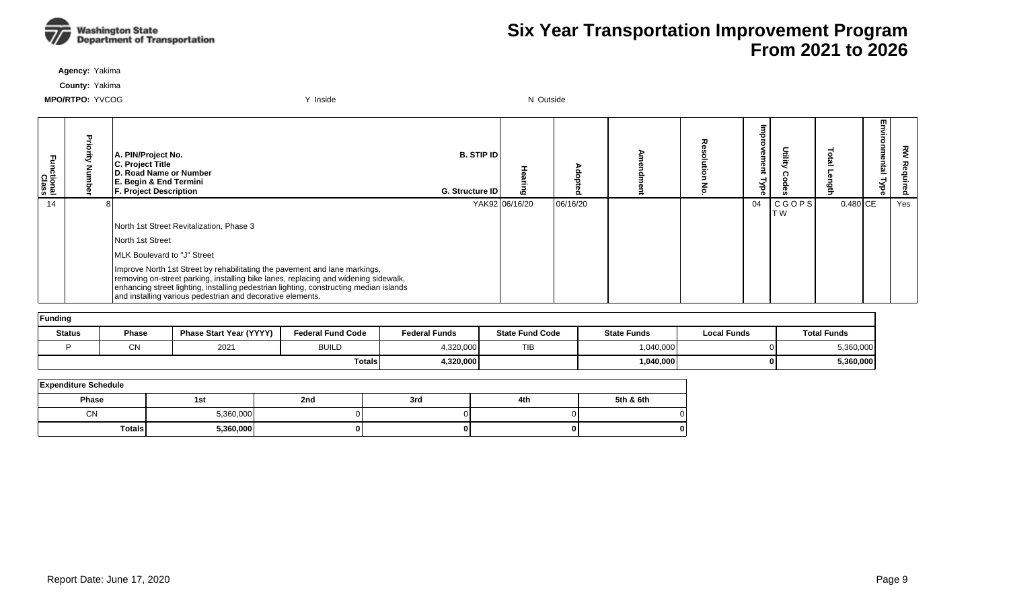

**Agency:** Yakima

**County:** Yakima

| n<br>nctional<br>Class | A. PIN/Project No.<br>C. Project Title<br><b>ID. Road Name or Number</b><br>E. Begin & End Termini<br><b>F. Project Description</b>                                                                                                                                                                                       | <b>B. STIP ID</b><br><b>G. Structure IDI</b> |                | O<br>൦   |  | శ్<br>Φ<br>₿ |               | ల్ల        | m<br>5<br>≨.<br>Ő<br>nmental<br>Type | 깋   |
|------------------------|---------------------------------------------------------------------------------------------------------------------------------------------------------------------------------------------------------------------------------------------------------------------------------------------------------------------------|----------------------------------------------|----------------|----------|--|--------------|---------------|------------|--------------------------------------|-----|
| 14                     |                                                                                                                                                                                                                                                                                                                           |                                              | YAK92 06/16/20 | 06/16/20 |  | 04           | CGOPS <br>T W | $0.480$ CE |                                      | Yes |
|                        | North 1st Street Revitalization, Phase 3                                                                                                                                                                                                                                                                                  |                                              |                |          |  |              |               |            |                                      |     |
|                        | North 1st Street                                                                                                                                                                                                                                                                                                          |                                              |                |          |  |              |               |            |                                      |     |
|                        | MLK Boulevard to "J" Street                                                                                                                                                                                                                                                                                               |                                              |                |          |  |              |               |            |                                      |     |
|                        | Improve North 1st Street by rehabilitating the pavement and lane markings,<br>removing on-street parking, installing bike lanes, replacing and widening sidewalk,<br>enhancing street lighting, installing pedestrian lighting, constructing median islands<br>and installing various pedestrian and decorative elements. |                                              |                |          |  |              |               |            |                                      |     |

| Funding       |              |                                |                          |                      |                        |                    |             |                    |  |  |  |
|---------------|--------------|--------------------------------|--------------------------|----------------------|------------------------|--------------------|-------------|--------------------|--|--|--|
| <b>Status</b> | <b>Phase</b> | <b>Phase Start Year (YYYY)</b> | <b>Federal Fund Code</b> | <b>Federal Funds</b> | <b>State Fund Code</b> | <b>State Funds</b> | Local Funds | <b>Total Funds</b> |  |  |  |
|               | C٨           | 2021                           | <b>BUILD</b>             | 1,320,000            | <b>TIB</b>             | 1,040,000          | ΩI          | 5,360,000          |  |  |  |
|               |              |                                | <b>Totals</b>            | 4,320,000            |                        | 1,040,000          | 01          | 5,360,000          |  |  |  |

| <b>Expenditure Schedule</b> |           |     |     |     |           |  |  |  |  |  |  |  |
|-----------------------------|-----------|-----|-----|-----|-----------|--|--|--|--|--|--|--|
| <b>Phase</b>                | 1st       | 2nd | 3rd | 4th | 5th & 6th |  |  |  |  |  |  |  |
| <b>CN</b>                   | 5,360,000 |     |     |     |           |  |  |  |  |  |  |  |
| <b>Totals</b>               | 5,360,000 | 01  | 0   | oı  | o         |  |  |  |  |  |  |  |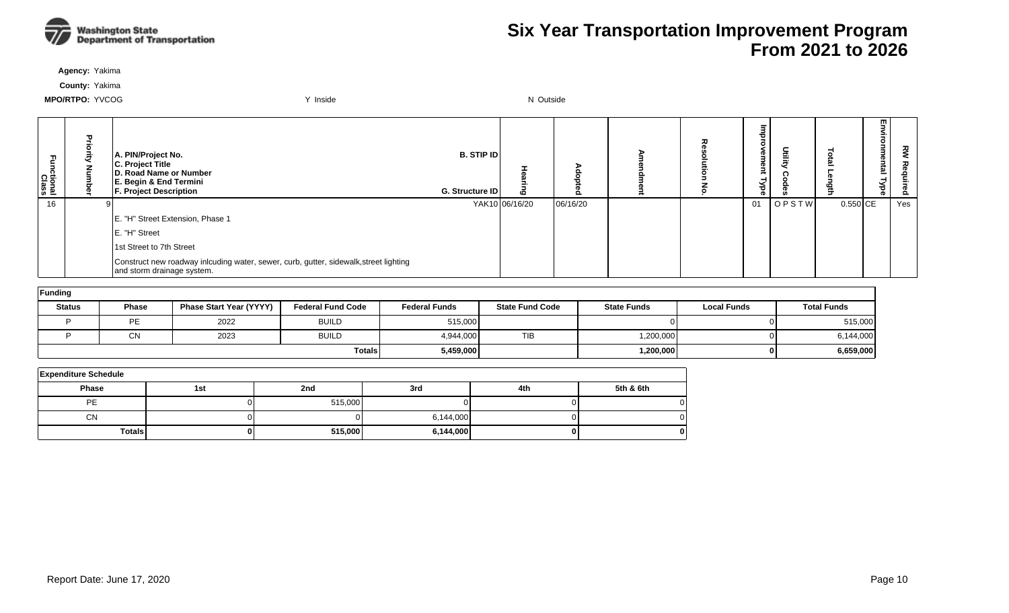

**Agency:** Yakima

**County:** Yakima

| Functional<br>Class | A. PIN/Project No.<br>C. Project Title<br>D. Road Name or Number<br>E. Begin & End Termini<br><b>F. Project Description</b> | <b>B. STIP ID</b><br>G. Structure ID | ه              |          | ᅐ | $\sigma$<br>з<br>Φ<br>₹<br>≺<br>ರ<br>o. | <b>Utilit</b> |            | 罒<br><u>ត</u><br>ᅴ | š<br>lired |
|---------------------|-----------------------------------------------------------------------------------------------------------------------------|--------------------------------------|----------------|----------|---|-----------------------------------------|---------------|------------|--------------------|------------|
| 16                  |                                                                                                                             |                                      | YAK10 06/16/20 | 06/16/20 |   | 01                                      | OPSTW         | $0.550$ CE |                    | Yes        |
|                     | E. "H" Street Extension, Phase 1                                                                                            |                                      |                |          |   |                                         |               |            |                    |            |
|                     | E. "H" Street                                                                                                               |                                      |                |          |   |                                         |               |            |                    |            |
|                     | 1st Street to 7th Street                                                                                                    |                                      |                |          |   |                                         |               |            |                    |            |
|                     | Construct new roadway inlcuding water, sewer, curb, gutter, sidewalk, street lighting<br>and storm drainage system.         |                                      |                |          |   |                                         |               |            |                    |            |

| Funding       |              |                                |                          |                      |                        |                    |                    |                    |
|---------------|--------------|--------------------------------|--------------------------|----------------------|------------------------|--------------------|--------------------|--------------------|
| <b>Status</b> | <b>Phase</b> | <b>Phase Start Year (YYYY)</b> | <b>Federal Fund Code</b> | <b>Federal Funds</b> | <b>State Fund Code</b> | <b>State Funds</b> | <b>Local Funds</b> | <b>Total Funds</b> |
|               | PE           | 2022                           | <b>BUILD</b>             | 515,000              |                        |                    | ΩL                 | 515,000            |
|               | $\cap$<br>◡◝ | 2023                           | <b>BUILD</b>             | 4,944,000            | <b>TIB</b>             | 1,200,000          | ΩL                 | 6,144,000          |
| <b>Totals</b> |              |                                |                          | 5,459,000            |                        | 1,200,000          | 01                 | 6,659,000          |

| <b>Expenditure Schedule</b> |     |         |           |     |           |  |  |  |  |  |  |  |  |
|-----------------------------|-----|---------|-----------|-----|-----------|--|--|--|--|--|--|--|--|
| <b>Phase</b>                | 1st | 2nd     | 3rd       | 4th | 5th & 6th |  |  |  |  |  |  |  |  |
| PE                          |     | 515,000 |           |     |           |  |  |  |  |  |  |  |  |
| <b>CN</b>                   |     |         | 6,144,000 |     |           |  |  |  |  |  |  |  |  |
| <b>Totals</b>               | 0   | 515,000 | 6,144,000 |     | o         |  |  |  |  |  |  |  |  |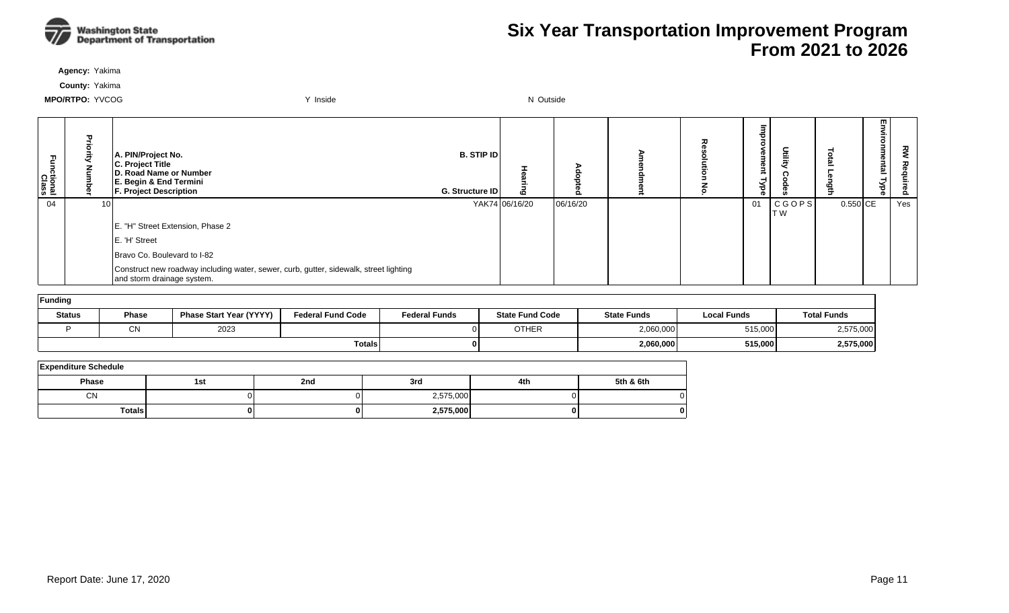

**Agency:** Yakima

**County:** Yakima

| Functional<br>Class | 뫂               | A. PIN/Project No.<br>C. Project Title<br>D. Road Name or Number<br>E. Begin & End Termini<br><b>F. Project Description</b> | <b>B. STIP ID</b><br>G. Structure ID | $\boldsymbol{\omega}$ | o        | 줐 | eme<br>킂<br>≺<br>ढ़ | <b>Deilie</b>       | ₹          | m<br>ወ<br>툐<br>ਠ | ξ<br>る<br><b>aduired</b> |
|---------------------|-----------------|-----------------------------------------------------------------------------------------------------------------------------|--------------------------------------|-----------------------|----------|---|---------------------|---------------------|------------|------------------|--------------------------|
| 04                  | 10 <sub>1</sub> |                                                                                                                             |                                      | YAK74 06/16/20        | 06/16/20 |   | 01                  | <b>CGOPS</b><br>T W | $0.550$ CE |                  | Yes                      |
|                     |                 | E. "H" Street Extension, Phase 2                                                                                            |                                      |                       |          |   |                     |                     |            |                  |                          |
|                     |                 | E. 'H' Street                                                                                                               |                                      |                       |          |   |                     |                     |            |                  |                          |
|                     |                 | Bravo Co. Boulevard to I-82                                                                                                 |                                      |                       |          |   |                     |                     |            |                  |                          |
|                     |                 | Construct new roadway including water, sewer, curb, gutter, sidewalk, street lighting<br>and storm drainage system.         |                                      |                       |          |   |                     |                     |            |                  |                          |
| $L$ unding          |                 |                                                                                                                             |                                      |                       |          |   |                     |                     |            |                  |                          |

| <b>Trunding</b> |                                                                            |      |                      |                        |                    |                    |                    |           |
|-----------------|----------------------------------------------------------------------------|------|----------------------|------------------------|--------------------|--------------------|--------------------|-----------|
| <b>Status</b>   | <b>Phase Start Year (YYYY)</b><br><b>Federal Fund Code</b><br><b>Phase</b> |      | <b>Federal Funds</b> | <b>State Fund Code</b> | <b>State Funds</b> | <b>Local Funds</b> | <b>Total Funds</b> |           |
|                 | <b>CNI</b><br>◡พ                                                           | 2023 |                      |                        | <b>OTHER</b>       | 2,060,000          | 515,000            | 2,575,000 |
|                 |                                                                            |      | Totals               |                        |                    | 2,060,000          | 515,000            | 2,575,000 |

| <b>Expenditure Schedule</b> |     |     |           |     |           |  |  |  |  |  |  |
|-----------------------------|-----|-----|-----------|-----|-----------|--|--|--|--|--|--|
| Phase                       | 1st | 2nd | 3rd       | 4th | 5th & 6th |  |  |  |  |  |  |
| CN                          |     |     | 2,575,000 |     |           |  |  |  |  |  |  |
| <b>Totals</b>               |     |     | 2,575,000 | 01  |           |  |  |  |  |  |  |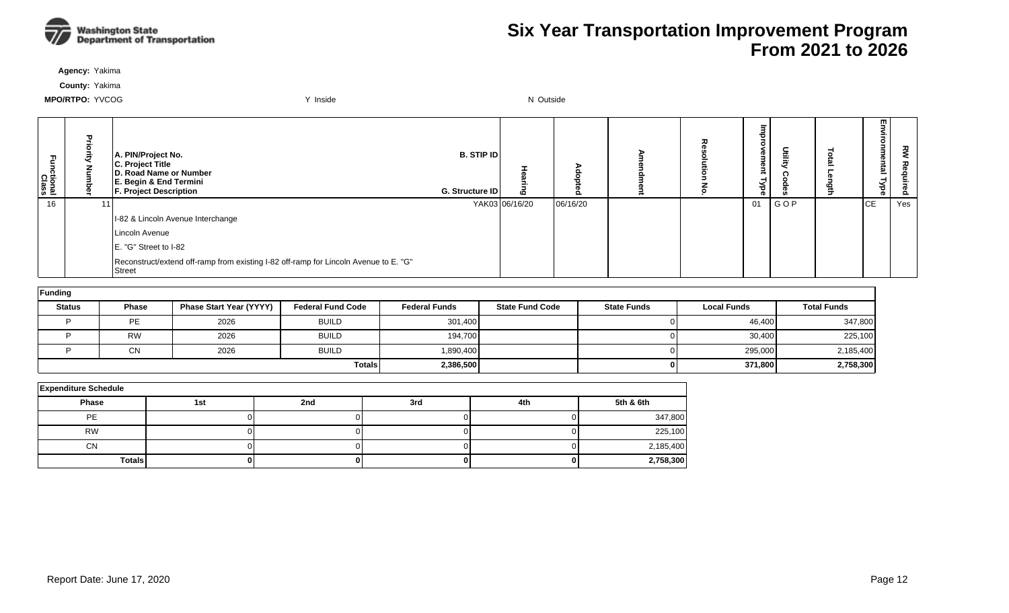

**Agency:** Yakima

**County:** Yakima

| m<br>ctional<br>Class | 고<br>금<br>ā | A. PIN/Project No.<br>C. Project Title<br>D. Road Name or Number<br>E. Begin & End Termini<br><b>F. Project Description</b> | B. STIP ID<br>G. Structure ID | <b>CO</b>      | $\circ$<br>$\circ$ | ᅐ | 73<br>o i<br><b>D</b><br>₹<br>ਙਂ<br>Ō | 言   | =<br>Ē. | 罒<br>శె<br>ē<br>ᢖ<br>Ѣ<br>ወ | š<br>은<br><u>o</u> |
|-----------------------|-------------|-----------------------------------------------------------------------------------------------------------------------------|-------------------------------|----------------|--------------------|---|---------------------------------------|-----|---------|-----------------------------|--------------------|
| 16                    |             |                                                                                                                             |                               | YAK03 06/16/20 | 06/16/20           |   | 01                                    | GOP |         | <b>CE</b>                   | Yes                |
|                       |             | I-82 & Lincoln Avenue Interchange                                                                                           |                               |                |                    |   |                                       |     |         |                             |                    |
|                       |             | Lincoln Avenue                                                                                                              |                               |                |                    |   |                                       |     |         |                             |                    |
|                       |             | E. "G" Street to I-82                                                                                                       |                               |                |                    |   |                                       |     |         |                             |                    |
|                       |             | Reconstruct/extend off-ramp from existing I-82 off-ramp for Lincoln Avenue to E. "G"<br><b>Street</b>                       |                               |                |                    |   |                                       |     |         |                             |                    |

| Funding       |              |                                |                          |                      |                        |                    |                    |                    |
|---------------|--------------|--------------------------------|--------------------------|----------------------|------------------------|--------------------|--------------------|--------------------|
| <b>Status</b> | <b>Phase</b> | <b>Phase Start Year (YYYY)</b> | <b>Federal Fund Code</b> | <b>Federal Funds</b> | <b>State Fund Code</b> | <b>State Funds</b> | <b>Local Funds</b> | <b>Total Funds</b> |
|               | PE           | 2026                           | <b>BUILD</b>             | 301,400              |                        |                    | 46,400             | 347,800            |
|               | <b>RW</b>    | 2026                           | <b>BUILD</b>             | 194,700              |                        |                    | 30,400             | 225,100            |
|               | CN           | 2026                           | <b>BUILD</b>             | 1,890,400            |                        |                    | 295,000            | 2,185,400          |
|               |              |                                | <b>Totals</b>            | 2,386,500            |                        |                    | 371,800            | 2,758,300          |

| <b>Expenditure Schedule</b> |     |     |     |     |           |  |  |  |  |  |
|-----------------------------|-----|-----|-----|-----|-----------|--|--|--|--|--|
| <b>Phase</b>                | 1st | 2nd | 3rd | 4th | 5th & 6th |  |  |  |  |  |
| PE                          |     |     |     |     | 347,800   |  |  |  |  |  |
| <b>RW</b>                   |     |     |     |     | 225,100   |  |  |  |  |  |
| <b>CN</b>                   |     |     |     |     | 2,185,400 |  |  |  |  |  |
| Totals                      |     |     |     |     | 2,758,300 |  |  |  |  |  |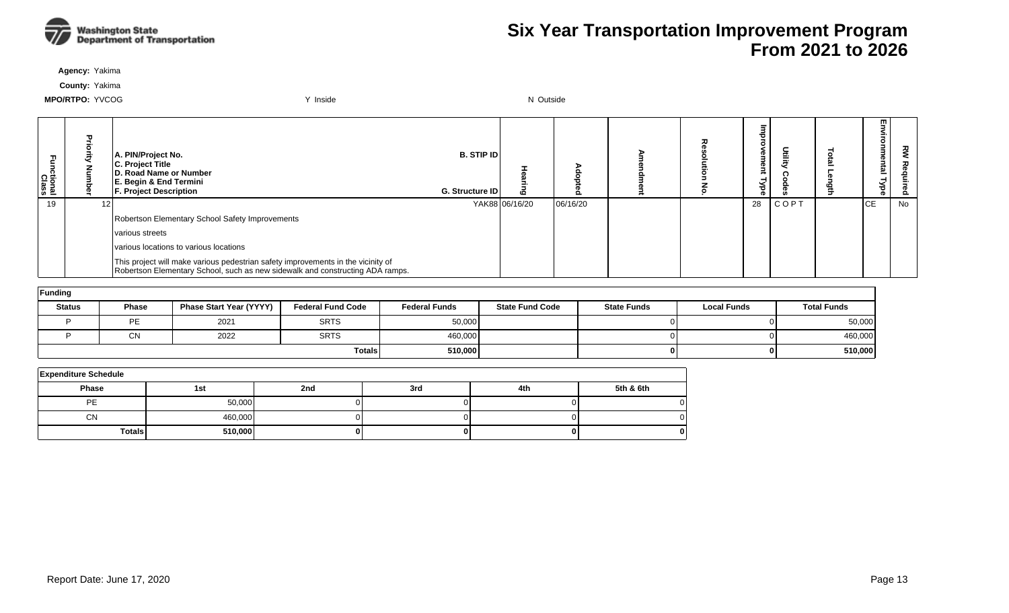

**Agency:** Yakima

**County:** Yakima

| Fa<br>S<br>Ictional<br>Class | $\mathbf{u}$ | A. PIN/Project No.<br>C. Project Title<br>D. Road Name or Number<br>E. Begin & End Termini<br><b>F. Project Description</b>                                       | <b>B. STIP IDI</b><br><b>G. Structure IDI</b> | 6              |          |  | ಕ  | utili       | Ξ<br>onmental<br>Type | ਟ੍ਰੋ<br>௨ |
|------------------------------|--------------|-------------------------------------------------------------------------------------------------------------------------------------------------------------------|-----------------------------------------------|----------------|----------|--|----|-------------|-----------------------|-----------|
| 19                           | 12           |                                                                                                                                                                   |                                               | YAK88 06/16/20 | 06/16/20 |  | 28 | <b>COPT</b> | lсE                   | No        |
|                              |              | Robertson Elementary School Safety Improvements                                                                                                                   |                                               |                |          |  |    |             |                       |           |
|                              |              | various streets                                                                                                                                                   |                                               |                |          |  |    |             |                       |           |
|                              |              | Ivarious locations to various locations                                                                                                                           |                                               |                |          |  |    |             |                       |           |
|                              |              | This project will make various pedestrian safety improvements in the vicinity of<br>Robertson Elementary School, such as new sidewalk and constructing ADA ramps. |                                               |                |          |  |    |             |                       |           |

| Funding       |           |                         |                          |                      |                        |                    |                    |                    |  |  |  |  |
|---------------|-----------|-------------------------|--------------------------|----------------------|------------------------|--------------------|--------------------|--------------------|--|--|--|--|
| <b>Status</b> | Phase     | Phase Start Year (YYYY) | <b>Federal Fund Code</b> | <b>Federal Funds</b> | <b>State Fund Code</b> | <b>State Funds</b> | <b>Local Funds</b> | <b>Total Funds</b> |  |  |  |  |
|               | <b>DE</b> | 2021                    | <b>SRTS</b>              | 50,000               |                        |                    | ΩL                 | 50,000             |  |  |  |  |
|               | ΩN<br>UΝ  | 2022                    | <b>SRTS</b>              | 460,000              |                        |                    | ΩL                 | 460,000            |  |  |  |  |
|               |           |                         | Totals                   | 510,000              |                        |                    | 01                 | 510,000            |  |  |  |  |

| <b>Expenditure Schedule</b> |         |     |     |     |           |  |  |  |  |  |  |  |  |
|-----------------------------|---------|-----|-----|-----|-----------|--|--|--|--|--|--|--|--|
| <b>Phase</b>                | 1st     | 2nd | 3rd | 4th | 5th & 6th |  |  |  |  |  |  |  |  |
| <b>PE</b>                   | 50,000  |     |     |     |           |  |  |  |  |  |  |  |  |
| <b>CN</b>                   | 460,000 |     |     |     |           |  |  |  |  |  |  |  |  |
| <b>Totals</b>               | 510,000 |     |     |     | O         |  |  |  |  |  |  |  |  |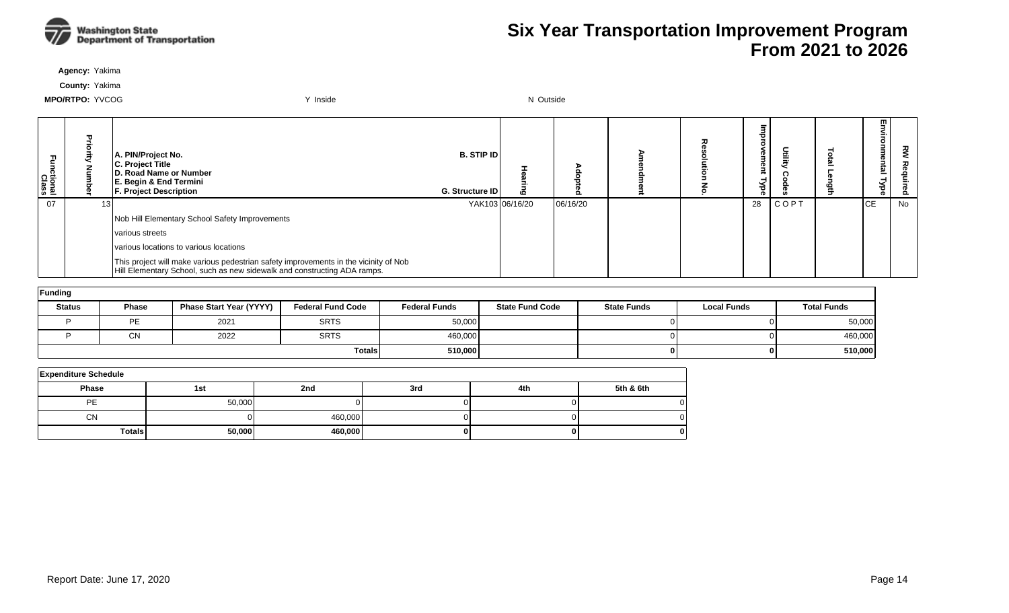

**Agency:** Yakima

**County:** Yakima

| Fa<br>S<br>nctional<br>Class | T. | A. PIN/Project No.<br>C. Project Title<br>D. Road Name or Number<br>E. Begin & End Termini<br><b>F. Project Description</b>                                      | <b>B. STIP IDI</b><br><b>G. Structure IDI</b> |                 |          | ᆽ | œ  |             | m<br><u>한</u> | 꼰<br>௨ |
|------------------------------|----|------------------------------------------------------------------------------------------------------------------------------------------------------------------|-----------------------------------------------|-----------------|----------|---|----|-------------|---------------|--------|
| 07                           | 13 |                                                                                                                                                                  |                                               | YAK103 06/16/20 | 06/16/20 |   | 28 | <b>COPT</b> | <b>CE</b>     | No     |
|                              |    | Nob Hill Elementary School Safety Improvements                                                                                                                   |                                               |                 |          |   |    |             |               |        |
|                              |    | various streets                                                                                                                                                  |                                               |                 |          |   |    |             |               |        |
|                              |    | various locations to various locations                                                                                                                           |                                               |                 |          |   |    |             |               |        |
|                              |    | This project will make various pedestrian safety improvements in the vicinity of Nob<br>Hill Elementary School, such as new sidewalk and constructing ADA ramps. |                                               |                 |          |   |    |             |               |        |

| Funding       |              |                         |                          |                      |                        |                    |                    |                    |  |  |  |  |
|---------------|--------------|-------------------------|--------------------------|----------------------|------------------------|--------------------|--------------------|--------------------|--|--|--|--|
| <b>Status</b> | <b>Phase</b> | Phase Start Year (YYYY) | <b>Federal Fund Code</b> | <b>Federal Funds</b> | <b>State Fund Code</b> | <b>State Funds</b> | <b>Local Funds</b> | <b>Total Funds</b> |  |  |  |  |
|               | <b>PE</b>    | 2021                    | <b>SRTS</b>              | 50,000               |                        |                    |                    | 50,000             |  |  |  |  |
|               | <b>CN</b>    | 2022                    | <b>SRTS</b>              | 460,000              |                        |                    |                    | 460,000            |  |  |  |  |
|               |              |                         | <b>Totals</b>            | 510,000              |                        | 01                 |                    | 510,000            |  |  |  |  |

| <b>Expenditure Schedule</b> |        |         |     |     |           |  |  |  |  |  |  |
|-----------------------------|--------|---------|-----|-----|-----------|--|--|--|--|--|--|
| <b>Phase</b>                | 1st    | 2nd     | 3rd | 4th | 5th & 6th |  |  |  |  |  |  |
| PE                          | 50,000 |         |     |     |           |  |  |  |  |  |  |
| <b>CN</b>                   |        | 460,000 |     |     |           |  |  |  |  |  |  |
| <b>Totals</b>               | 50,000 | 460,000 |     |     |           |  |  |  |  |  |  |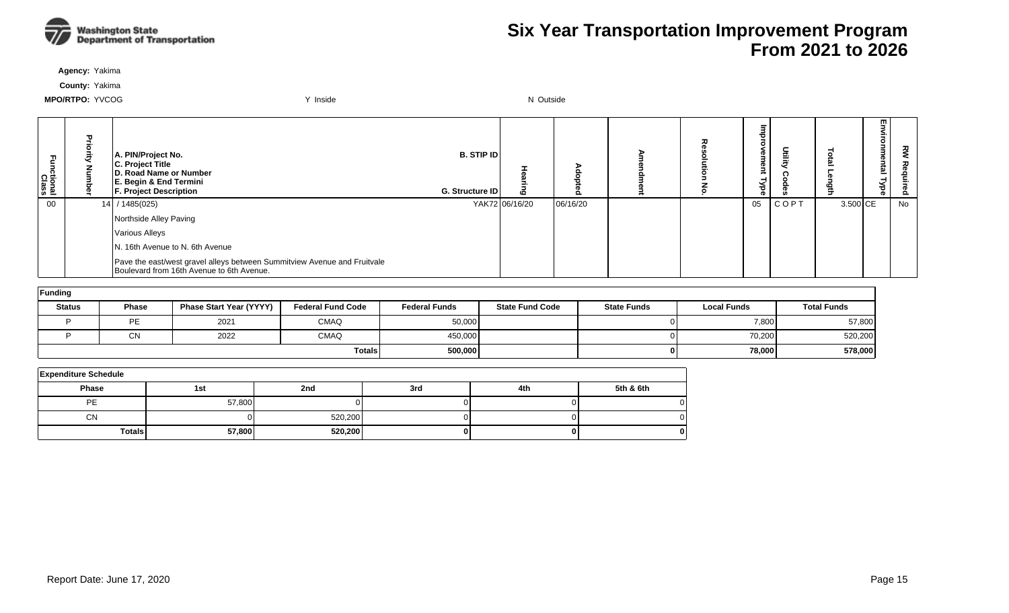

**Agency:** Yakima

**County:** Yakima

| ctional<br>Class | 고<br>គ<br>Ē<br>Š | A. PIN/Project No.<br>C. Project Title<br><b>D. Road Name or Number</b><br>E. Begin & End Termini<br><b>F. Project Description</b> | <b>B. STIP IDI</b><br><b>G. Structure IDI</b> |                |          | ᄌ | Φ<br>Φ<br>∍<br>≺<br>ಕ<br>െ |      |          | m<br>≌ | 꼰<br>Õ. |
|------------------|------------------|------------------------------------------------------------------------------------------------------------------------------------|-----------------------------------------------|----------------|----------|---|----------------------------|------|----------|--------|---------|
| 00               |                  | 14 / 1485(025)                                                                                                                     |                                               | YAK72 06/16/20 | 06/16/20 |   | 05                         | COPT | 3.500 CE |        | No      |
|                  |                  | Northside Alley Paving                                                                                                             |                                               |                |          |   |                            |      |          |        |         |
|                  |                  | Various Alleys                                                                                                                     |                                               |                |          |   |                            |      |          |        |         |
|                  |                  | N. 16th Avenue to N. 6th Avenue                                                                                                    |                                               |                |          |   |                            |      |          |        |         |
|                  |                  | Pave the east/west gravel alleys between Summitview Avenue and Fruitvale<br>Boulevard from 16th Avenue to 6th Avenue.              |                                               |                |          |   |                            |      |          |        |         |

| Funding       |              |                         |                          |                      |                        |                    |                    |                    |  |  |  |  |
|---------------|--------------|-------------------------|--------------------------|----------------------|------------------------|--------------------|--------------------|--------------------|--|--|--|--|
| <b>Status</b> | <b>Phase</b> | Phase Start Year (YYYY) | <b>Federal Fund Code</b> | <b>Federal Funds</b> | <b>State Fund Code</b> | <b>State Funds</b> | <b>Local Funds</b> | <b>Total Funds</b> |  |  |  |  |
|               | PE           | 2021                    | <b>CMAQ</b>              | 50,000               |                        | 01                 | 7,800              | 57,800             |  |  |  |  |
|               | СN           | 2022                    | <b>CMAQ</b>              | 450,000              |                        | ΟI                 | 70,200             | 520,200            |  |  |  |  |
|               |              |                         | <b>Totals</b>            | 500,000              |                        | 01                 | 78,000             | 578,000            |  |  |  |  |

| <b>Expenditure Schedule</b> |        |         |     |     |           |  |  |  |  |  |  |  |
|-----------------------------|--------|---------|-----|-----|-----------|--|--|--|--|--|--|--|
| <b>Phase</b>                | 1st    | 2nd     | 3rd | 4th | 5th & 6th |  |  |  |  |  |  |  |
| PE                          | 57,800 |         |     |     |           |  |  |  |  |  |  |  |
| <b>CN</b>                   |        | 520,200 |     |     |           |  |  |  |  |  |  |  |
| <b>Totals</b>               | 57,800 | 520,200 |     |     | 0         |  |  |  |  |  |  |  |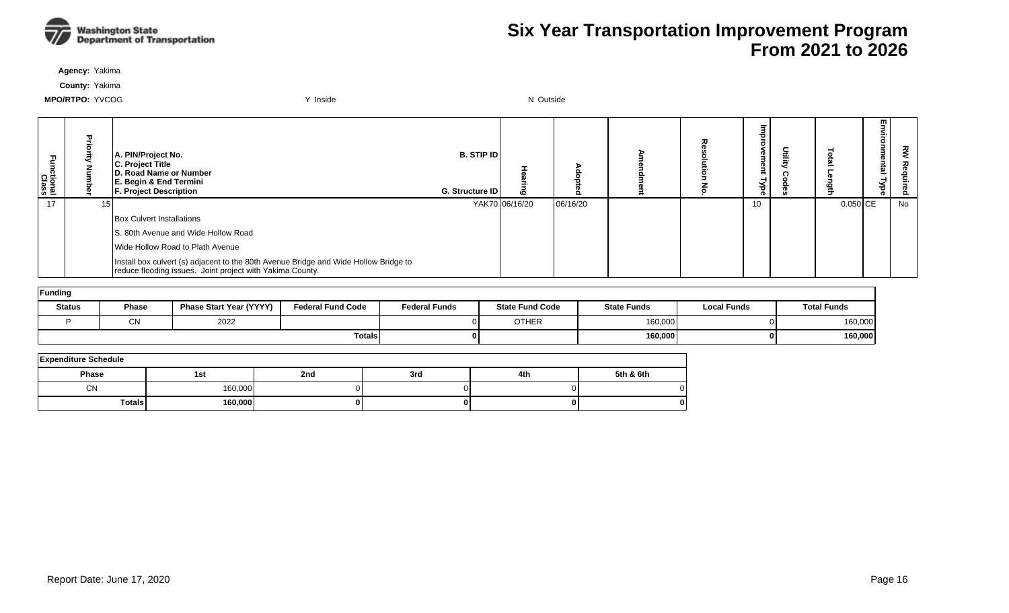

**Agency:** Yakima

**County:** Yakima

| ctional<br>Class | 꽃 | A. PIN/Project No.<br>C. Project Title<br>D. Road Name or Number<br>E. Begin & End Termini<br><b>F. Project Description</b>                       | <b>B. STIP ID</b><br>G. Structure ID | ٥              | o        | ᆽ | œ<br>o.<br>≺<br>ಕ<br><b>O</b> | 즐 |          | m<br>౾<br>한 | š<br>စိ |
|------------------|---|---------------------------------------------------------------------------------------------------------------------------------------------------|--------------------------------------|----------------|----------|---|-------------------------------|---|----------|-------------|---------|
| 17               |   |                                                                                                                                                   |                                      | YAK70 06/16/20 | 06/16/20 |   | 10                            |   | 0.050 CE |             | No      |
|                  |   | <b>Box Culvert Installations</b>                                                                                                                  |                                      |                |          |   |                               |   |          |             |         |
|                  |   | S. 80th Avenue and Wide Hollow Road                                                                                                               |                                      |                |          |   |                               |   |          |             |         |
|                  |   | Wide Hollow Road to Plath Avenue                                                                                                                  |                                      |                |          |   |                               |   |          |             |         |
|                  |   | Install box culvert (s) adjacent to the 80th Avenue Bridge and Wide Hollow Bridge to<br>reduce flooding issues. Joint project with Yakima County. |                                      |                |          |   |                               |   |          |             |         |

| Funding       |              |                                |                          |                      |                        |                    |                    |                    |  |  |  |  |  |
|---------------|--------------|--------------------------------|--------------------------|----------------------|------------------------|--------------------|--------------------|--------------------|--|--|--|--|--|
| <b>Status</b> | <b>Phase</b> | <b>Phase Start Year (YYYY)</b> | <b>Federal Fund Code</b> | <b>Federal Funds</b> | <b>State Fund Code</b> | <b>State Funds</b> | <b>Local Funds</b> | <b>Total Funds</b> |  |  |  |  |  |
|               | $\sim$<br>◡◝ | 2022                           |                          |                      | <b>OTHER</b>           | 160,000            | ΩL                 | 160,000            |  |  |  |  |  |
|               |              |                                | <b>Totals</b>            | 01                   |                        | 160,000            | 0 I                | 160,000            |  |  |  |  |  |

| <b>Expenditure Schedule</b> |         |     |     |     |           |  |  |  |  |  |  |  |
|-----------------------------|---------|-----|-----|-----|-----------|--|--|--|--|--|--|--|
| Phase                       | 1st     | 2nd | 3rd | 4th | 5th & 6th |  |  |  |  |  |  |  |
| <b>CN</b>                   | 160,000 |     |     |     |           |  |  |  |  |  |  |  |
| <b>Totals</b>               | 160,000 |     |     |     | 01        |  |  |  |  |  |  |  |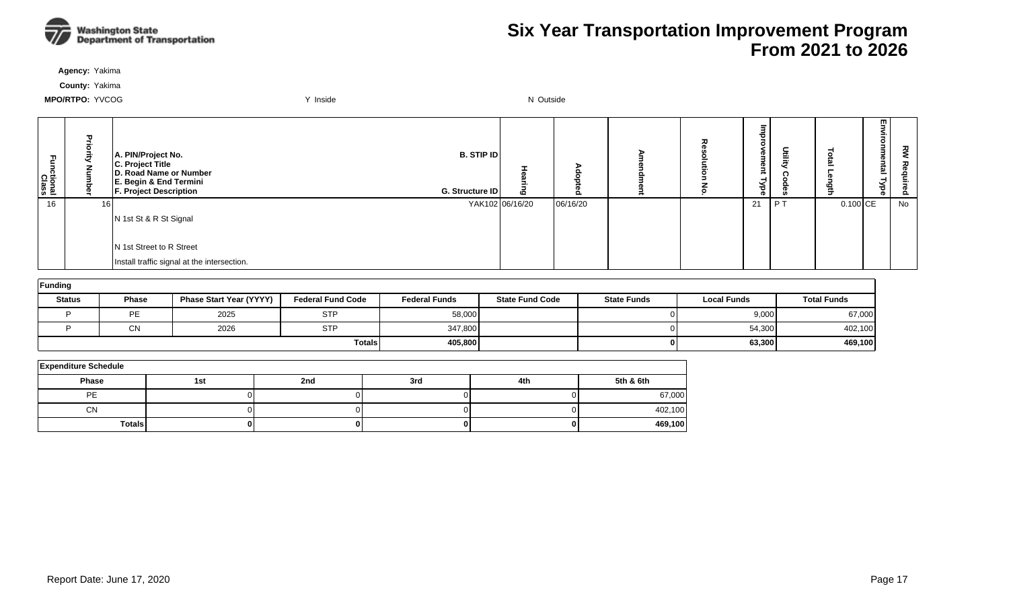

**Agency:** Yakima

**County:** Yakima

| ctional<br>Class | 곡<br>ಕ<br>ā<br>Š | A. PIN/Project No.<br>C. Project Title<br>D. Road Name or Number<br>E. Begin & End Termini<br><b>F. Project Description</b> | $B.$ STIP ID<br>G. Structure ID |          | ᅎ | o i<br>3<br><b>D</b><br>₹<br>Nbe | 重  |            | ▥<br>౾<br>효<br>⊣ | 짖<br>る<br><b>D</b><br>Õ. |
|------------------|------------------|-----------------------------------------------------------------------------------------------------------------------------|---------------------------------|----------|---|----------------------------------|----|------------|------------------|--------------------------|
| 16               | 16               |                                                                                                                             | YAK102 06/16/20                 | 06/16/20 |   | 21                               | PI | $0.100$ CE |                  | No                       |
|                  |                  | N 1st St & R St Signal                                                                                                      |                                 |          |   |                                  |    |            |                  |                          |
|                  |                  |                                                                                                                             |                                 |          |   |                                  |    |            |                  |                          |
|                  |                  | N 1st Street to R Street                                                                                                    |                                 |          |   |                                  |    |            |                  |                          |
|                  |                  | Install traffic signal at the intersection.                                                                                 |                                 |          |   |                                  |    |            |                  |                          |

| Funding       |              |                         |                          |                      |                        |                    |                    |                    |  |  |  |  |
|---------------|--------------|-------------------------|--------------------------|----------------------|------------------------|--------------------|--------------------|--------------------|--|--|--|--|
| <b>Status</b> | <b>Phase</b> | Phase Start Year (YYYY) | <b>Federal Fund Code</b> | <b>Federal Funds</b> | <b>State Fund Code</b> | <b>State Funds</b> | <b>Local Funds</b> | <b>Total Funds</b> |  |  |  |  |
|               | PE           | 2025                    | <b>STP</b>               | 58,000               |                        |                    | 9,000              | 67,000             |  |  |  |  |
|               | <b>CN</b>    | 2026                    | <b>STP</b>               | 347,800              |                        |                    | 54,300             | 402,100            |  |  |  |  |
|               |              |                         | <b>Totals</b>            | 405,800              |                        |                    | 63,300             | 469,100            |  |  |  |  |

| <b>Expenditure Schedule</b> |     |     |     |     |           |  |  |  |  |  |
|-----------------------------|-----|-----|-----|-----|-----------|--|--|--|--|--|
| Phase                       | 1st | 2nd | 3rd | 4th | 5th & 6th |  |  |  |  |  |
| PE                          |     |     |     |     | 67,000    |  |  |  |  |  |
| CN                          |     |     |     |     | 402,100   |  |  |  |  |  |
| <b>Totals</b>               |     |     |     |     | 469,100   |  |  |  |  |  |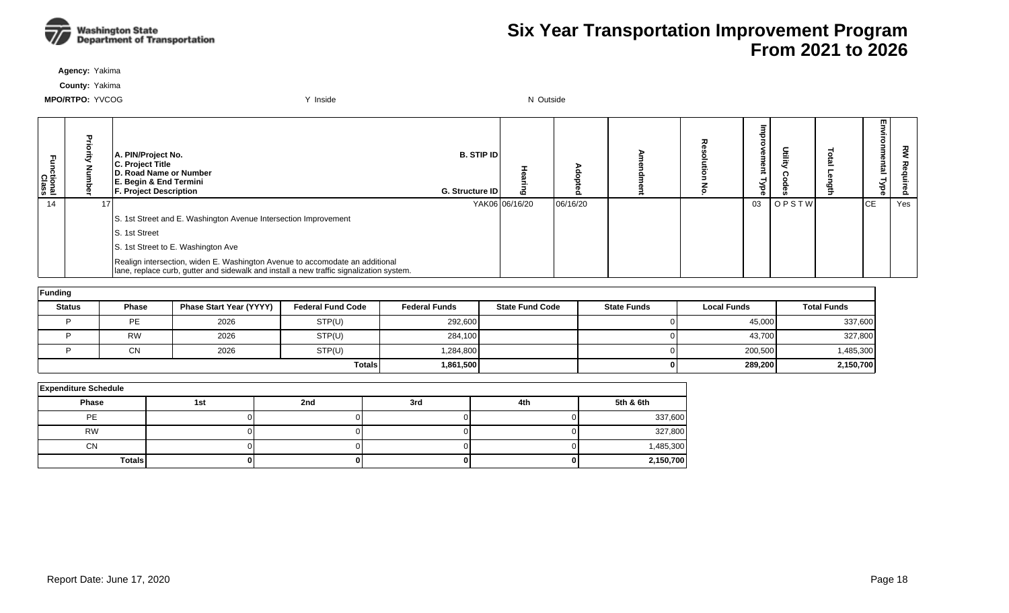

**Agency:** Yakima

**County:** Yakima

| ctional<br>Class | ᄁ | A. PIN/Project No.<br>C. Project Title<br>D. Road Name or Number<br>E. Begin & End Termini<br><b>F. Project Description</b>                                             | <b>B. STIP IDI</b><br><b>G. Structure IDI</b> |                | o        |  | œ<br>መ<br>ಕ |       | m<br>=    | 꼰<br>௨ |
|------------------|---|-------------------------------------------------------------------------------------------------------------------------------------------------------------------------|-----------------------------------------------|----------------|----------|--|-------------|-------|-----------|--------|
| 14               |   |                                                                                                                                                                         |                                               | YAK06 06/16/20 | 06/16/20 |  | 03          | OPSTW | <b>CE</b> | Yes    |
|                  |   | S. 1st Street and E. Washington Avenue Intersection Improvement                                                                                                         |                                               |                |          |  |             |       |           |        |
|                  |   | S. 1st Street                                                                                                                                                           |                                               |                |          |  |             |       |           |        |
|                  |   | S. 1st Street to E. Washington Ave                                                                                                                                      |                                               |                |          |  |             |       |           |        |
|                  |   | Realign intersection, widen E. Washington Avenue to accomodate an additional<br>lane, replace curb, gutter and sidewalk and install a new traffic signalization system. |                                               |                |          |  |             |       |           |        |

| Funding       |              |                                |                          |                      |                        |                    |                    |                    |
|---------------|--------------|--------------------------------|--------------------------|----------------------|------------------------|--------------------|--------------------|--------------------|
| <b>Status</b> | <b>Phase</b> | <b>Phase Start Year (YYYY)</b> | <b>Federal Fund Code</b> | <b>Federal Funds</b> | <b>State Fund Code</b> | <b>State Funds</b> | <b>Local Funds</b> | <b>Total Funds</b> |
|               | PE           | 2026                           | STP(U)                   | 292,600              |                        |                    | 45,000             | 337,600            |
|               | <b>RW</b>    | 2026                           | STP(U)                   | 284,100              |                        |                    | 43,700             | 327,800            |
|               | <b>CN</b>    | 2026                           | STP(U)                   | 1,284,800            |                        |                    | 200,500            | 1,485,300          |
|               |              |                                | <b>Totals</b>            | 1,861,500            |                        |                    | 289,200            | 2,150,700          |

| <b>Expenditure Schedule</b> |     |     |     |     |           |  |  |  |  |  |  |
|-----------------------------|-----|-----|-----|-----|-----------|--|--|--|--|--|--|
| <b>Phase</b>                | 1st | 2nd | 3rd | 4th | 5th & 6th |  |  |  |  |  |  |
| PE                          |     |     |     |     | 337,600   |  |  |  |  |  |  |
| <b>RW</b>                   |     |     |     |     | 327,800   |  |  |  |  |  |  |
| <b>CN</b>                   |     |     |     |     | 1,485,300 |  |  |  |  |  |  |
| <b>Totals</b>               |     |     |     |     | 2,150,700 |  |  |  |  |  |  |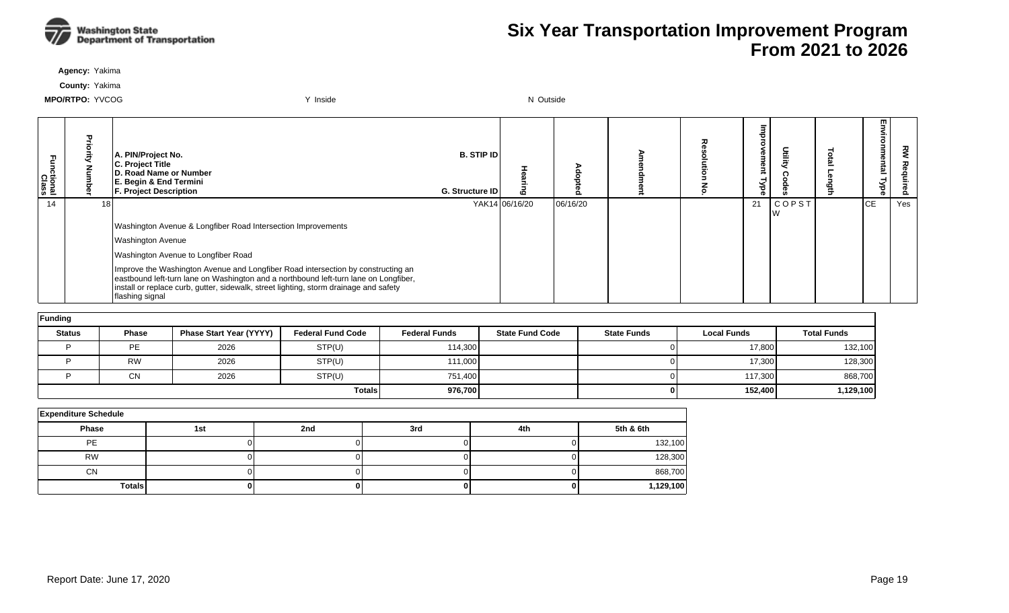

**Agency:** Yakima

**County:** Yakima

| ctional<br>Class |    | A. PIN/Project No.<br><b>C. Project Title</b><br>D. Road Name or Number<br>E. Begin & End Termini<br><b>F. Project Description</b>                                                                                                                                                   | <b>B. STIP IDI</b><br>G. Structure ID | 6              |          | ᆽ | <b>D</b><br>നാ.<br>క<br>െ |              | m<br><u>ត</u> | 꼰<br>Ö. |
|------------------|----|--------------------------------------------------------------------------------------------------------------------------------------------------------------------------------------------------------------------------------------------------------------------------------------|---------------------------------------|----------------|----------|---|---------------------------|--------------|---------------|---------|
| 14               | 18 |                                                                                                                                                                                                                                                                                      |                                       | YAK14 06/16/20 | 06/16/20 |   | 21                        | <b>COPST</b> | <b>CE</b>     | Yes     |
|                  |    | Washington Avenue & Longfiber Road Intersection Improvements                                                                                                                                                                                                                         |                                       |                |          |   |                           |              |               |         |
|                  |    | <b>Washington Avenue</b>                                                                                                                                                                                                                                                             |                                       |                |          |   |                           |              |               |         |
|                  |    | Washington Avenue to Longfiber Road                                                                                                                                                                                                                                                  |                                       |                |          |   |                           |              |               |         |
|                  |    | Improve the Washington Avenue and Longfiber Road intersection by constructing an<br>eastbound left-turn lane on Washington and a northbound left-turn lane on Longfiber,<br>install or replace curb, gutter, sidewalk, street lighting, storm drainage and safety<br>flashing signal |                                       |                |          |   |                           |              |               |         |

| Funding       |           |                                |                          |                      |                        |                    |                    |                    |
|---------------|-----------|--------------------------------|--------------------------|----------------------|------------------------|--------------------|--------------------|--------------------|
| <b>Status</b> | Phase     | <b>Phase Start Year (YYYY)</b> | <b>Federal Fund Code</b> | <b>Federal Funds</b> | <b>State Fund Code</b> | <b>State Funds</b> | <b>Local Funds</b> | <b>Total Funds</b> |
|               | <b>PE</b> | 2026                           | STP(U)                   | 114.300              |                        | ΟI                 | 17,800             | 132,100            |
|               | <b>RW</b> | 2026                           | STP(U)                   | 111,000              |                        |                    | 17,300             | 128,300            |
|               | <b>CN</b> | 2026                           | STP(U)                   | 751.400              |                        | 01                 | 117,300            | 868,700            |
|               |           |                                | <b>Totals</b>            | 976,700              |                        | 01                 | 152,400            | 1,129,100          |

| <b>Expenditure Schedule</b> |     |     |     |     |           |  |  |  |  |  |  |
|-----------------------------|-----|-----|-----|-----|-----------|--|--|--|--|--|--|
| Phase                       | 1st | 2nd | 3rd | 4th | 5th & 6th |  |  |  |  |  |  |
| <b>PE</b>                   |     |     |     |     | 132,100   |  |  |  |  |  |  |
| <b>RW</b>                   |     |     |     |     | 128,300   |  |  |  |  |  |  |
| <b>CN</b>                   |     |     |     |     | 868,700   |  |  |  |  |  |  |
| <b>Totals</b>               |     |     |     |     | 1,129,100 |  |  |  |  |  |  |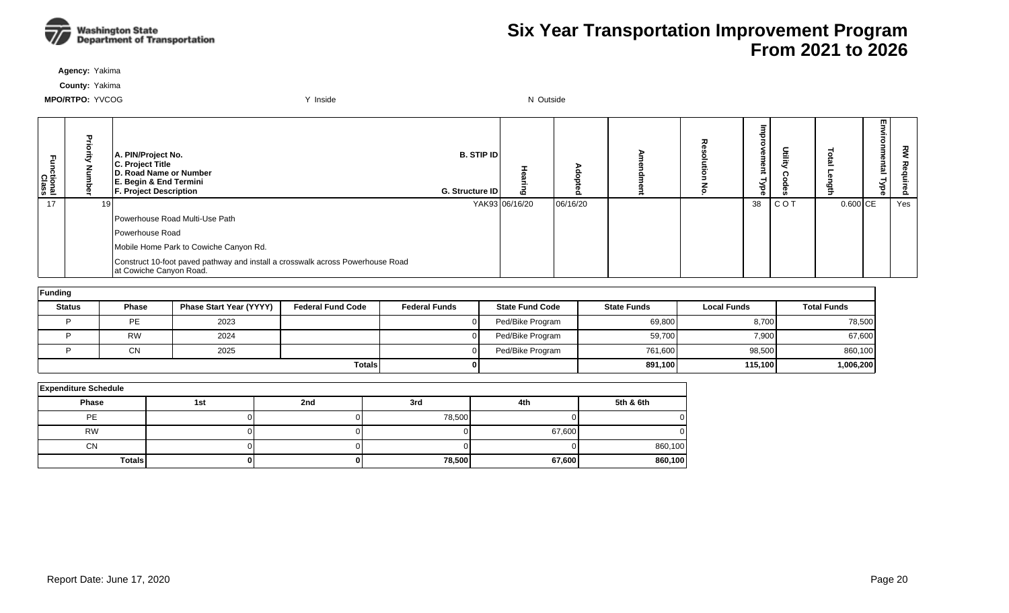

**Agency:** Yakima

**County:** Yakima

| Functional<br>Class | A. PIN/Project No.<br>C. Project Title<br>D. Road Name or Number<br>E. Begin & End Termini<br><b>F. Project Description</b> | <b>B. STIP IDI</b><br>G. Structure ID | $\boldsymbol{\omega}$ |          | 고 | <b>D</b><br>Φ<br>-<br>ರ<br>െ | Deilig |          | m<br>5<br>= | š<br><b>D</b><br>ó. |
|---------------------|-----------------------------------------------------------------------------------------------------------------------------|---------------------------------------|-----------------------|----------|---|------------------------------|--------|----------|-------------|---------------------|
| 17                  |                                                                                                                             |                                       | YAK93 06/16/20        | 06/16/20 |   | 38                           | COT    | 0.600 CE |             | Yes                 |
|                     | Powerhouse Road Multi-Use Path                                                                                              |                                       |                       |          |   |                              |        |          |             |                     |
|                     | <b>IPowerhouse Road</b>                                                                                                     |                                       |                       |          |   |                              |        |          |             |                     |
|                     | Mobile Home Park to Cowiche Canyon Rd.                                                                                      |                                       |                       |          |   |                              |        |          |             |                     |
|                     | Construct 10-foot paved pathway and install a crosswalk across Powerhouse Road<br>at Cowiche Canyon Road.                   |                                       |                       |          |   |                              |        |          |             |                     |

| Funding       |               |                                |                          |                      |                        |                    |                    |                    |
|---------------|---------------|--------------------------------|--------------------------|----------------------|------------------------|--------------------|--------------------|--------------------|
| <b>Status</b> | <b>Phase</b>  | <b>Phase Start Year (YYYY)</b> | <b>Federal Fund Code</b> | <b>Federal Funds</b> | <b>State Fund Code</b> | <b>State Funds</b> | <b>Local Funds</b> | <b>Total Funds</b> |
|               | PE            | 2023                           |                          |                      | Ped/Bike Program       | 69,800             | 8,700              | 78,500             |
|               | <b>RW</b>     | 2024                           |                          |                      | Ped/Bike Program       | 59,700             | 7,900              | 67,600             |
|               | <b>CN</b>     | 2025                           |                          |                      | Ped/Bike Program       | 761,600            | 98,500             | 860,100            |
|               | <b>Totals</b> |                                |                          |                      |                        | 891,100            | 115,100            | 1,006,200          |

| <b>Expenditure Schedule</b> |     |     |        |        |           |  |  |  |  |  |  |
|-----------------------------|-----|-----|--------|--------|-----------|--|--|--|--|--|--|
| <b>Phase</b>                | 1st | 2nd | 3rd    | 4th    | 5th & 6th |  |  |  |  |  |  |
| PE                          |     |     | 78,500 |        |           |  |  |  |  |  |  |
| <b>RW</b>                   |     |     |        | 67,600 |           |  |  |  |  |  |  |
| CN                          |     |     |        |        | 860,100   |  |  |  |  |  |  |
| <b>Totals</b>               |     |     | 78,500 | 67,600 | 860,100   |  |  |  |  |  |  |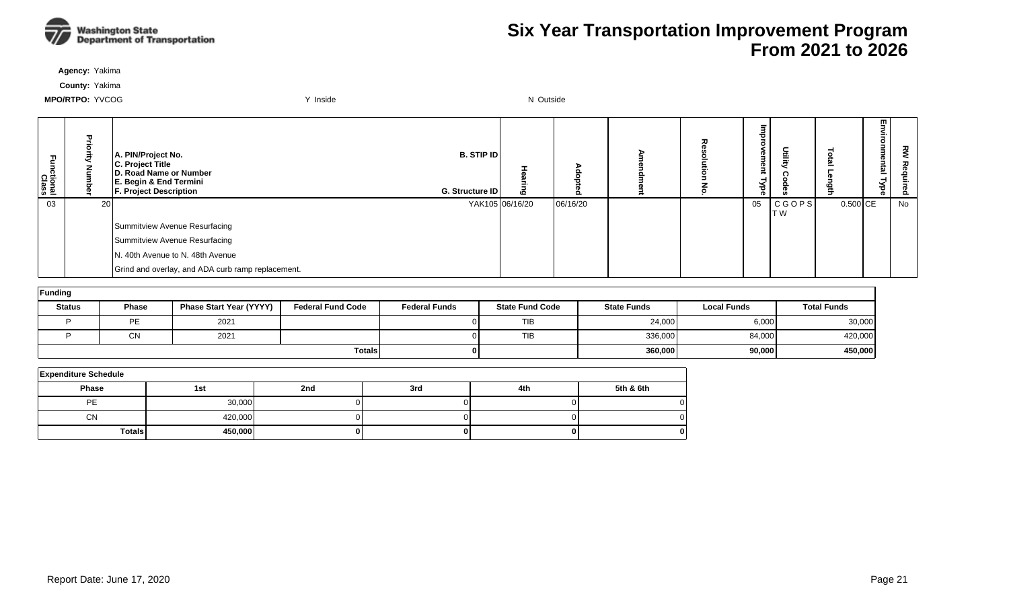

**Agency:** Yakima

**County:** Yakima

| Functional<br>Class |    | A. PIN/Project No.<br>C. Project Title<br>D. Road Name or Number<br>E. Begin & End Termini<br><b>F. Project Description</b> | <b>B. STIP IDI</b><br>G. Structure ID |                 |          |  | Φ<br>Φ<br>ਠ<br>ക | Deilie)             |          | m<br><u>한</u> | 짖<br>௨ |
|---------------------|----|-----------------------------------------------------------------------------------------------------------------------------|---------------------------------------|-----------------|----------|--|------------------|---------------------|----------|---------------|--------|
| 03                  | 20 |                                                                                                                             |                                       | YAK105 06/16/20 | 06/16/20 |  | 05               | CGOPS <br><b>TW</b> | 0.500 CE |               | No     |
|                     |    | Summitview Avenue Resurfacing                                                                                               |                                       |                 |          |  |                  |                     |          |               |        |
|                     |    | Summitview Avenue Resurfacing                                                                                               |                                       |                 |          |  |                  |                     |          |               |        |
|                     |    | N. 40th Avenue to N. 48th Avenue                                                                                            |                                       |                 |          |  |                  |                     |          |               |        |
|                     |    | Grind and overlay, and ADA curb ramp replacement.                                                                           |                                       |                 |          |  |                  |                     |          |               |        |

| Funding       |                       |                                |                          |                      |                        |                    |                    |                    |
|---------------|-----------------------|--------------------------------|--------------------------|----------------------|------------------------|--------------------|--------------------|--------------------|
| <b>Status</b> | Phase                 | <b>Phase Start Year (YYYY)</b> | <b>Federal Fund Code</b> | <b>Federal Funds</b> | <b>State Fund Code</b> | <b>State Funds</b> | <b>Local Funds</b> | <b>Total Funds</b> |
|               | <b>PF</b><br><u>_</u> | 2021                           |                          |                      | <b>TIB</b>             | 24,000             | 6,000              | 30,000             |
|               | $\sim$ NI<br>יוש      | 2021                           |                          |                      | <b>TIB</b>             | 336,000            | 84,000             | 420,000            |
|               |                       |                                | <b>Totals</b>            |                      |                        | 360,000            | 90,000             | 450,000            |

| <b>Expenditure Schedule</b> |         |     |     |     |           |
|-----------------------------|---------|-----|-----|-----|-----------|
| <b>Phase</b>                | 1st     | 2nd | 3rd | 4th | 5th & 6th |
| PE                          | 30,000  |     |     |     |           |
| <b>CN</b>                   | 420,000 |     |     |     |           |
| Totals                      | 450,000 |     |     |     |           |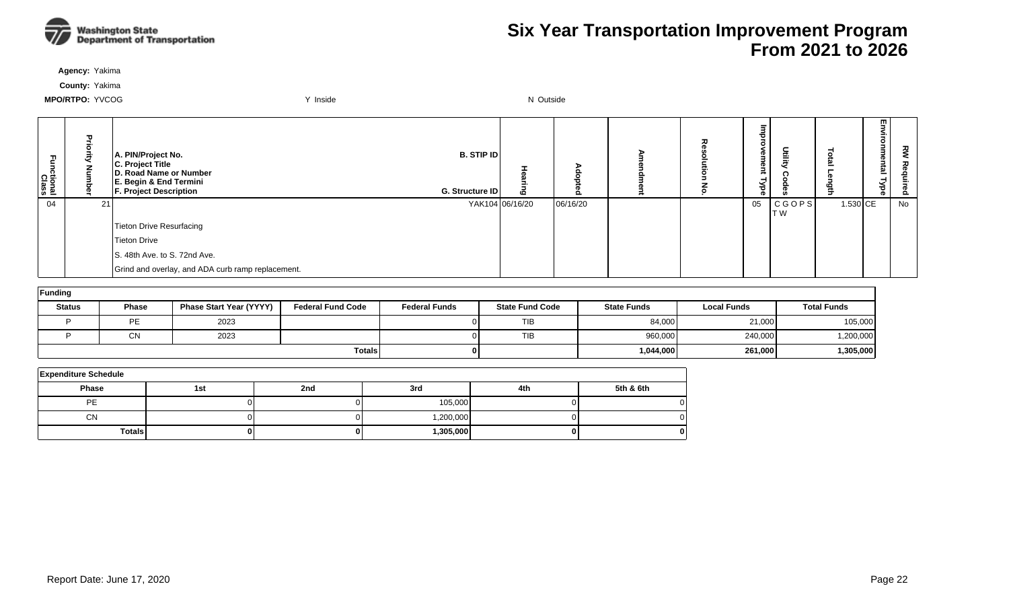

**Agency:** Yakima

**County:** Yakima

| 곤<br>ctional<br>Class |    | A. PIN/Project No.<br>C. Project Title<br>D. Road Name or Number<br>E. Begin & End Termini<br><b>F. Project Description</b> | <b>B. STIP ID</b><br>G. Structure ID | 6               |          | ᆽ | e<br>E<br>നാ<br>-<br>ड़ | Utility        |          | 罒<br><u>한</u> | $\tilde{\epsilon}$<br>은<br>௨ |
|-----------------------|----|-----------------------------------------------------------------------------------------------------------------------------|--------------------------------------|-----------------|----------|---|-------------------------|----------------|----------|---------------|------------------------------|
| 04                    | 21 |                                                                                                                             |                                      | YAK104 06/16/20 | 06/16/20 |   | 05                      | CGOPS <br>IT W | 1.530 CE |               | No                           |
|                       |    | Tieton Drive Resurfacing                                                                                                    |                                      |                 |          |   |                         |                |          |               |                              |
|                       |    | Tieton Drive                                                                                                                |                                      |                 |          |   |                         |                |          |               |                              |
|                       |    | S. 48th Ave. to S. 72nd Ave.                                                                                                |                                      |                 |          |   |                         |                |          |               |                              |
|                       |    | Grind and overlay, and ADA curb ramp replacement.                                                                           |                                      |                 |          |   |                         |                |          |               |                              |

| Funding       |              |                                |                          |                      |                        |                    |                    |                    |  |  |  |  |
|---------------|--------------|--------------------------------|--------------------------|----------------------|------------------------|--------------------|--------------------|--------------------|--|--|--|--|
| <b>Status</b> | <b>Phase</b> | <b>Phase Start Year (YYYY)</b> | <b>Federal Fund Code</b> | <b>Federal Funds</b> | <b>State Fund Code</b> | <b>State Funds</b> | <b>Local Funds</b> | <b>Total Funds</b> |  |  |  |  |
|               | <b>PE</b>    | 2023                           |                          |                      | <b>TIB</b>             | 84,000             | 21,000             | 105,000            |  |  |  |  |
|               | CN           | 2023                           |                          |                      | <b>TIB</b>             | 960,000            | 240,000            | 1,200,000          |  |  |  |  |
| <b>Totals</b> |              |                                |                          |                      |                        | 1,044,000          | 261,000            | 1,305,000          |  |  |  |  |

| <b>Expenditure Schedule</b> |     |     |           |     |           |  |  |  |  |  |  |
|-----------------------------|-----|-----|-----------|-----|-----------|--|--|--|--|--|--|
| <b>Phase</b>                | 1st | 2nd | 3rd       | 4th | 5th & 6th |  |  |  |  |  |  |
| PE                          |     |     | 105,000   |     |           |  |  |  |  |  |  |
| <b>CN</b>                   |     |     | 1,200,000 |     |           |  |  |  |  |  |  |
| Totals                      | 0   |     | 1,305,000 |     |           |  |  |  |  |  |  |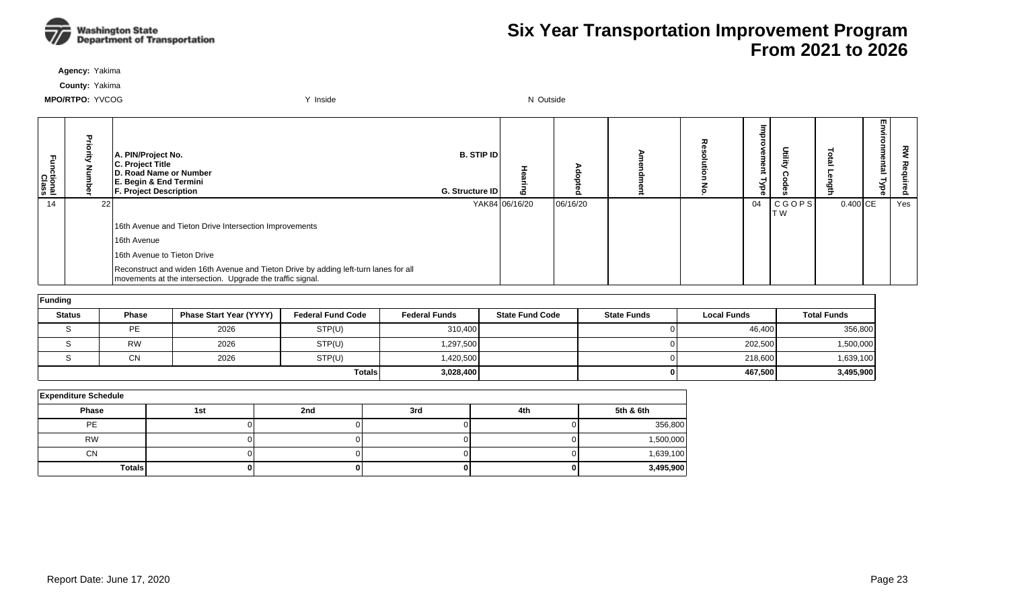

**Agency:** Yakima

**County:** Yakima

| ctional<br>Class |       | A. PIN/Project No.<br>C. Project Title<br><b>ID. Road Name or Number</b><br>E. Begin & End Termini<br><b>F. Project Description</b>                | B. STIP ID<br>G. Structure ID |                | o        |  | θU<br>ğ<br>급<br>ह | 日言                   |            | m<br>= | ᅍ<br>௨ |
|------------------|-------|----------------------------------------------------------------------------------------------------------------------------------------------------|-------------------------------|----------------|----------|--|-------------------|----------------------|------------|--------|--------|
| 14               | -22 I |                                                                                                                                                    |                               | YAK84 06/16/20 | 06/16/20 |  | 04                | <b>CGOPS</b><br>IT W | $0.400$ CE |        | Yes    |
|                  |       | 16th Avenue and Tieton Drive Intersection Improvements                                                                                             |                               |                |          |  |                   |                      |            |        |        |
|                  |       | 16th Avenue                                                                                                                                        |                               |                |          |  |                   |                      |            |        |        |
|                  |       | 16th Avenue to Tieton Drive                                                                                                                        |                               |                |          |  |                   |                      |            |        |        |
|                  |       | Reconstruct and widen 16th Avenue and Tieton Drive by adding left-turn lanes for all<br>movements at the intersection. Upgrade the traffic signal. |                               |                |          |  |                   |                      |            |        |        |

| Funding       |              |                                |                          |                      |                        |                    |                    |                    |  |  |  |  |
|---------------|--------------|--------------------------------|--------------------------|----------------------|------------------------|--------------------|--------------------|--------------------|--|--|--|--|
| <b>Status</b> | <b>Phase</b> | <b>Phase Start Year (YYYY)</b> | <b>Federal Fund Code</b> | <b>Federal Funds</b> | <b>State Fund Code</b> | <b>State Funds</b> | <b>Local Funds</b> | <b>Total Funds</b> |  |  |  |  |
|               | PE           | 2026                           | STP(U)                   | 310,400              |                        |                    | 46,400             | 356,800            |  |  |  |  |
|               | <b>RW</b>    | 2026                           | STP(U)                   | 1,297,500            |                        |                    | 202,500            | 1,500,000          |  |  |  |  |
|               | <b>CN</b>    | 2026                           | STP(U)                   | ,420,500             |                        |                    | 218,600            | 1,639,100          |  |  |  |  |
|               |              |                                | <b>Totals</b>            | 3,028,400            |                        |                    | 467,500            | 3,495,900          |  |  |  |  |

| <b>Expenditure Schedule</b> |     |     |     |     |           |  |  |  |  |  |  |
|-----------------------------|-----|-----|-----|-----|-----------|--|--|--|--|--|--|
| Phase                       | 1st | 2nd | 3rd | 4th | 5th & 6th |  |  |  |  |  |  |
| <b>PE</b>                   |     |     |     |     | 356,800   |  |  |  |  |  |  |
| <b>RW</b>                   |     |     |     |     | 1,500,000 |  |  |  |  |  |  |
| <b>CN</b>                   |     |     |     |     | 1,639,100 |  |  |  |  |  |  |
| <b>Totals</b>               |     |     |     |     | 3,495,900 |  |  |  |  |  |  |